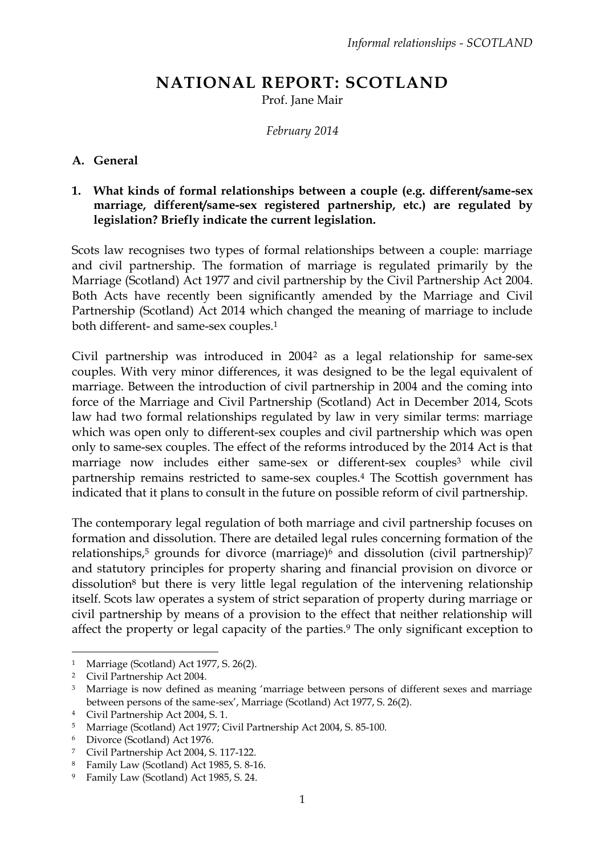# **NATIONAL REPORT: SCOTLAND**

Prof. Jane Mair

*February 2014*

### **A. General**

### **1. What kinds of formal relationships between a couple (e.g. different/same-sex marriage, different/same-sex registered partnership, etc.) are regulated by legislation? Briefly indicate the current legislation.**

Scots law recognises two types of formal relationships between a couple: marriage and civil partnership. The formation of marriage is regulated primarily by the Marriage (Scotland) Act 1977 and civil partnership by the Civil Partnership Act 2004. Both Acts have recently been significantly amended by the Marriage and Civil Partnership (Scotland) Act 2014 which changed the meaning of marriage to include both different- and same-sex couples.<sup>1</sup>

Civil partnership was introduced in 2004<sup>2</sup> as a legal relationship for same-sex couples. With very minor differences, it was designed to be the legal equivalent of marriage. Between the introduction of civil partnership in 2004 and the coming into force of the Marriage and Civil Partnership (Scotland) Act in December 2014, Scots law had two formal relationships regulated by law in very similar terms: marriage which was open only to different-sex couples and civil partnership which was open only to same-sex couples. The effect of the reforms introduced by the 2014 Act is that marriage now includes either same-sex or different-sex couples<sup>3</sup> while civil partnership remains restricted to same-sex couples.<sup>4</sup> The Scottish government has indicated that it plans to consult in the future on possible reform of civil partnership.

The contemporary legal regulation of both marriage and civil partnership focuses on formation and dissolution. There are detailed legal rules concerning formation of the relationships,<sup>5</sup> grounds for divorce (marriage)<sup>6</sup> and dissolution (civil partnership)<sup>7</sup> and statutory principles for property sharing and financial provision on divorce or dissolution<sup>8</sup> but there is very little legal regulation of the intervening relationship itself. Scots law operates a system of strict separation of property during marriage or civil partnership by means of a provision to the effect that neither relationship will affect the property or legal capacity of the parties.<sup>9</sup> The only significant exception to

<sup>1</sup> Marriage (Scotland) Act 1977, S. 26(2).

<sup>2</sup> Civil Partnership Act 2004.

<sup>&</sup>lt;sup>3</sup> Marriage is now defined as meaning 'marriage between persons of different sexes and marriage between persons of the same-sex', Marriage (Scotland) Act 1977, S. 26(2).

<sup>4</sup> Civil Partnership Act 2004, S. 1.

<sup>5</sup> Marriage (Scotland) Act 1977; Civil Partnership Act 2004, S. 85-100.

<sup>6</sup> Divorce (Scotland) Act 1976.

<sup>7</sup> Civil Partnership Act 2004, S. 117-122.

<sup>8</sup> Family Law (Scotland) Act 1985, S. 8-16.

<sup>9</sup> Family Law (Scotland) Act 1985, S. 24.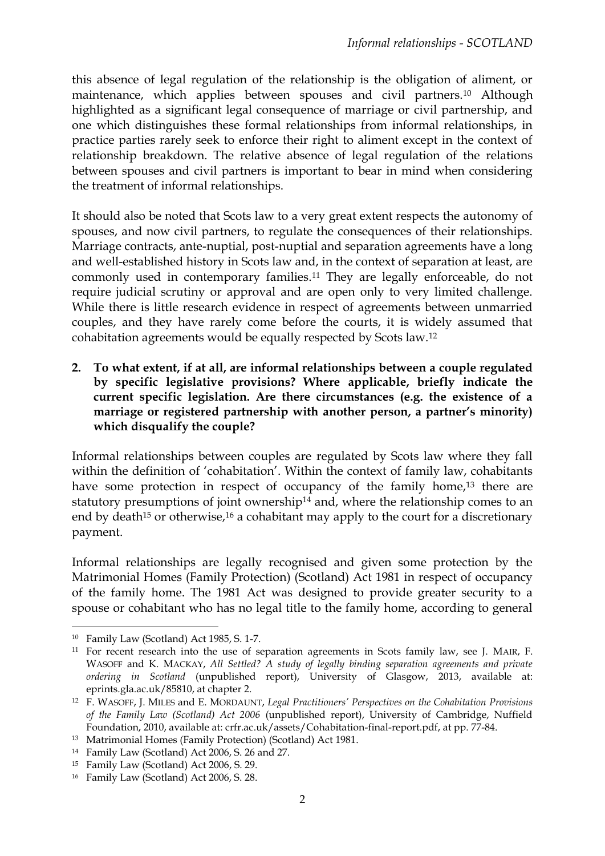this absence of legal regulation of the relationship is the obligation of aliment, or maintenance, which applies between spouses and civil partners.<sup>10</sup> Although highlighted as a significant legal consequence of marriage or civil partnership, and one which distinguishes these formal relationships from informal relationships, in practice parties rarely seek to enforce their right to aliment except in the context of relationship breakdown. The relative absence of legal regulation of the relations between spouses and civil partners is important to bear in mind when considering the treatment of informal relationships.

It should also be noted that Scots law to a very great extent respects the autonomy of spouses, and now civil partners, to regulate the consequences of their relationships. Marriage contracts, ante-nuptial, post-nuptial and separation agreements have a long and well-established history in Scots law and, in the context of separation at least, are commonly used in contemporary families.<sup>11</sup> They are legally enforceable, do not require judicial scrutiny or approval and are open only to very limited challenge. While there is little research evidence in respect of agreements between unmarried couples, and they have rarely come before the courts, it is widely assumed that cohabitation agreements would be equally respected by Scots law.<sup>12</sup>

**2. To what extent, if at all, are informal relationships between a couple regulated by specific legislative provisions? Where applicable, briefly indicate the current specific legislation. Are there circumstances (e.g. the existence of a marriage or registered partnership with another person, a partner's minority) which disqualify the couple?**

Informal relationships between couples are regulated by Scots law where they fall within the definition of 'cohabitation'. Within the context of family law, cohabitants have some protection in respect of occupancy of the family home,<sup>13</sup> there are statutory presumptions of joint ownership<sup>14</sup> and, where the relationship comes to an end by death<sup>15</sup> or otherwise,<sup>16</sup> a cohabitant may apply to the court for a discretionary payment.

Informal relationships are legally recognised and given some protection by the Matrimonial Homes (Family Protection) (Scotland) Act 1981 in respect of occupancy of the family home. The 1981 Act was designed to provide greater security to a spouse or cohabitant who has no legal title to the family home, according to general

<sup>10</sup> Family Law (Scotland) Act 1985, S. 1-7.

<sup>&</sup>lt;sup>11</sup> For recent research into the use of separation agreements in Scots family law, see J. MAIR, F. WASOFF and K. MACKAY, *All Settled? A study of legally binding separation agreements and private ordering in Scotland* (unpublished report), University of Glasgow, 2013, available at: eprints.gla.ac.uk/85810, at chapter 2.

<sup>12</sup> F. WASOFF, J. MILES and E. MORDAUNT, *Legal Practitioners' Perspectives on the Cohabitation Provisions of the Family Law (Scotland) Act 2006* (unpublished report), University of Cambridge, Nuffield Foundation, 2010, available at: crfr.ac.uk/assets/Cohabitation-final-report.pdf, at pp. 77-84.

<sup>13</sup> Matrimonial Homes (Family Protection) (Scotland) Act 1981.

<sup>14</sup> Family Law (Scotland) Act 2006, S. 26 and 27.

<sup>15</sup> Family Law (Scotland) Act 2006, S. 29.

<sup>16</sup> Family Law (Scotland) Act 2006, S. 28.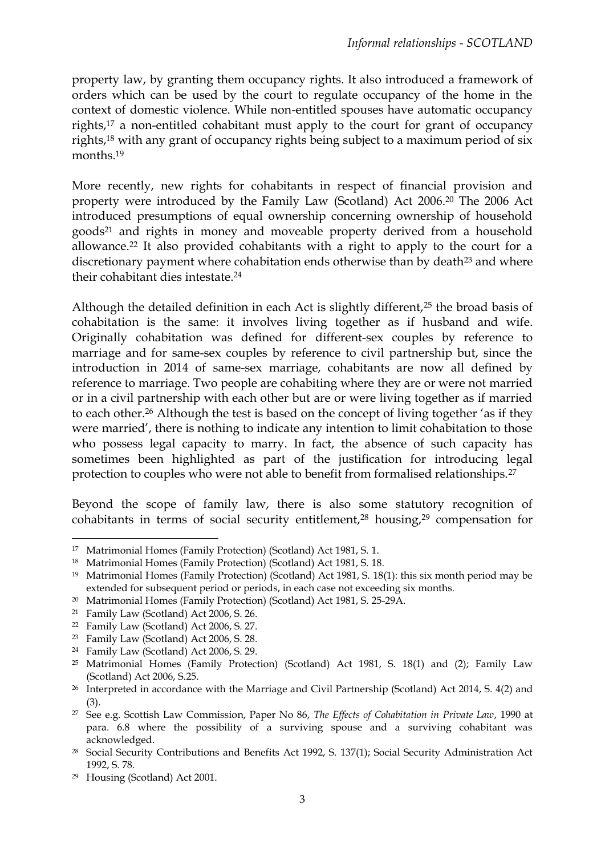property law, by granting them occupancy rights. It also introduced a framework of orders which can be used by the court to regulate occupancy of the home in the context of domestic violence. While non-entitled spouses have automatic occupancy rights,<sup>17</sup> a non-entitled cohabitant must apply to the court for grant of occupancy rights,<sup>18</sup> with any grant of occupancy rights being subject to a maximum period of six months.<sup>19</sup>

More recently, new rights for cohabitants in respect of financial provision and property were introduced by the Family Law (Scotland) Act 2006.<sup>20</sup> The 2006 Act introduced presumptions of equal ownership concerning ownership of household goods<sup>21</sup> and rights in money and moveable property derived from a household allowance.<sup>22</sup> It also provided cohabitants with a right to apply to the court for a discretionary payment where cohabitation ends otherwise than by death<sup>23</sup> and where their cohabitant dies intestate.<sup>24</sup>

Although the detailed definition in each Act is slightly different,<sup>25</sup> the broad basis of cohabitation is the same: it involves living together as if husband and wife. Originally cohabitation was defined for different-sex couples by reference to marriage and for same-sex couples by reference to civil partnership but, since the introduction in 2014 of same-sex marriage, cohabitants are now all defined by reference to marriage. Two people are cohabiting where they are or were not married or in a civil partnership with each other but are or were living together as if married to each other.<sup>26</sup> Although the test is based on the concept of living together 'as if they were married', there is nothing to indicate any intention to limit cohabitation to those who possess legal capacity to marry. In fact, the absence of such capacity has sometimes been highlighted as part of the justification for introducing legal protection to couples who were not able to benefit from formalised relationships.<sup>27</sup>

Beyond the scope of family law, there is also some statutory recognition of cohabitants in terms of social security entitlement,<sup>28</sup> housing,<sup>29</sup> compensation for

 $\overline{a}$ <sup>17</sup> Matrimonial Homes (Family Protection) (Scotland) Act 1981, S. 1.

<sup>18</sup> Matrimonial Homes (Family Protection) (Scotland) Act 1981, S. 18.

<sup>19</sup> Matrimonial Homes (Family Protection) (Scotland) Act 1981, S. 18(1): this six month period may be extended for subsequent period or periods, in each case not exceeding six months.

<sup>20</sup> Matrimonial Homes (Family Protection) (Scotland) Act 1981, S. 25-29A.

<sup>21</sup> Family Law (Scotland) Act 2006, S. 26.

<sup>22</sup> Family Law (Scotland) Act 2006, S. 27.

<sup>23</sup> Family Law (Scotland) Act 2006, S. 28.

<sup>24</sup> Family Law (Scotland) Act 2006, S. 29.

<sup>25</sup> Matrimonial Homes (Family Protection) (Scotland) Act 1981, S. 18(1) and (2); Family Law (Scotland) Act 2006, S.25.

<sup>&</sup>lt;sup>26</sup> Interpreted in accordance with the Marriage and Civil Partnership (Scotland) Act 2014, S. 4(2) and (3).

<sup>27</sup> See e.g. Scottish Law Commission, Paper No 86, *The Effects of Cohabitation in Private Law*, 1990 at para. 6.8 where the possibility of a surviving spouse and a surviving cohabitant was acknowledged.

<sup>28</sup> Social Security Contributions and Benefits Act 1992, S. 137(1); Social Security Administration Act 1992, S. 78.

<sup>29</sup> Housing (Scotland) Act 2001.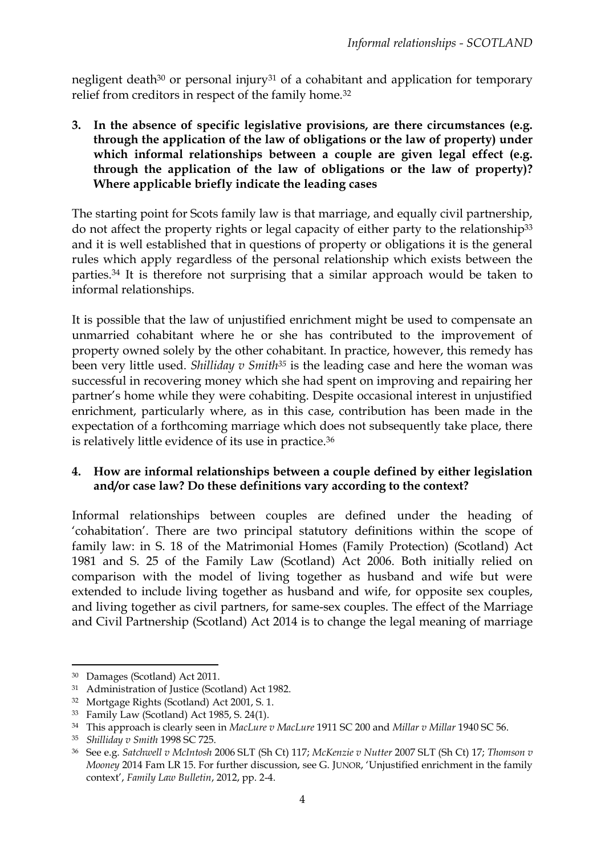negligent death<sup>30</sup> or personal injury<sup>31</sup> of a cohabitant and application for temporary relief from creditors in respect of the family home.<sup>32</sup>

**3. In the absence of specific legislative provisions, are there circumstances (e.g. through the application of the law of obligations or the law of property) under which informal relationships between a couple are given legal effect (e.g. through the application of the law of obligations or the law of property)? Where applicable briefly indicate the leading cases** 

The starting point for Scots family law is that marriage, and equally civil partnership, do not affect the property rights or legal capacity of either party to the relationship<sup>33</sup> and it is well established that in questions of property or obligations it is the general rules which apply regardless of the personal relationship which exists between the parties.<sup>34</sup> It is therefore not surprising that a similar approach would be taken to informal relationships.

It is possible that the law of unjustified enrichment might be used to compensate an unmarried cohabitant where he or she has contributed to the improvement of property owned solely by the other cohabitant. In practice, however, this remedy has been very little used. *Shilliday v Smith<sup>35</sup>* is the leading case and here the woman was successful in recovering money which she had spent on improving and repairing her partner's home while they were cohabiting. Despite occasional interest in unjustified enrichment, particularly where, as in this case, contribution has been made in the expectation of a forthcoming marriage which does not subsequently take place, there is relatively little evidence of its use in practice.<sup>36</sup>

### **4. How are informal relationships between a couple defined by either legislation and/or case law? Do these definitions vary according to the context?**

Informal relationships between couples are defined under the heading of 'cohabitation'. There are two principal statutory definitions within the scope of family law: in S. 18 of the Matrimonial Homes (Family Protection) (Scotland) Act 1981 and S. 25 of the Family Law (Scotland) Act 2006. Both initially relied on comparison with the model of living together as husband and wife but were extended to include living together as husband and wife, for opposite sex couples, and living together as civil partners, for same-sex couples. The effect of the Marriage and Civil Partnership (Scotland) Act 2014 is to change the legal meaning of marriage

1

<sup>30</sup> Damages (Scotland) Act 2011.

<sup>31</sup> Administration of Justice (Scotland) Act 1982.

<sup>32</sup> Mortgage Rights (Scotland) Act 2001, S. 1.

<sup>33</sup> Family Law (Scotland) Act 1985, S. 24(1).

<sup>34</sup> This approach is clearly seen in *MacLure v MacLure* 1911 SC 200 and *Millar v Millar* 1940 SC 56.

<sup>35</sup> *Shilliday v Smith* 1998 SC 725.

<sup>36</sup> See e.g. *Satchwell v McIntosh* 2006 SLT (Sh Ct) 117; *McKenzie v Nutter* 2007 SLT (Sh Ct) 17; *Thomson v Mooney* 2014 Fam LR 15. For further discussion, see G. JUNOR, 'Unjustified enrichment in the family context', *Family Law Bulletin*, 2012, pp. 2-4.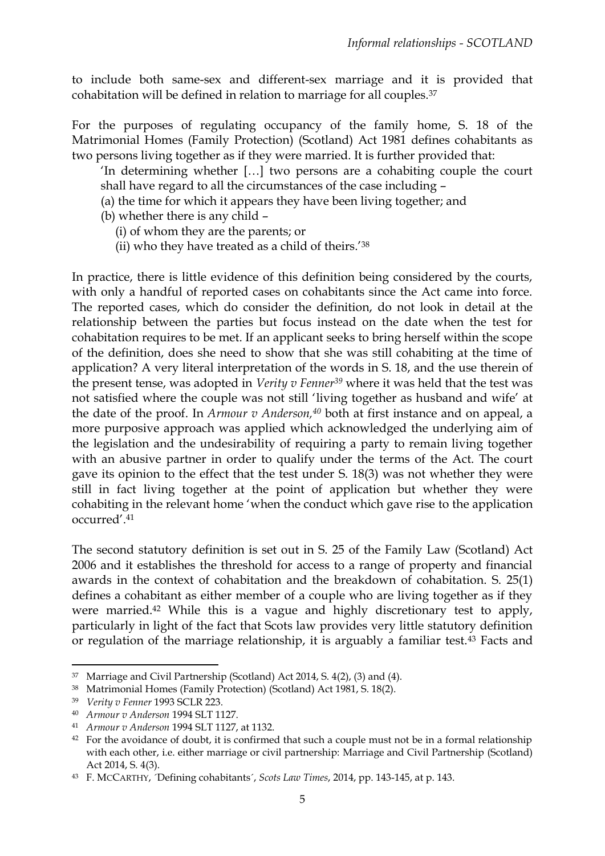to include both same-sex and different-sex marriage and it is provided that cohabitation will be defined in relation to marriage for all couples.<sup>37</sup>

For the purposes of regulating occupancy of the family home, S. 18 of the Matrimonial Homes (Family Protection) (Scotland) Act 1981 defines cohabitants as two persons living together as if they were married. It is further provided that:

'In determining whether […] two persons are a cohabiting couple the court shall have regard to all the circumstances of the case including –

- (a) the time for which it appears they have been living together; and
- (b) whether there is any child
	- (i) of whom they are the parents; or
	- (ii) who they have treated as a child of theirs.'<sup>38</sup>

In practice, there is little evidence of this definition being considered by the courts, with only a handful of reported cases on cohabitants since the Act came into force. The reported cases, which do consider the definition, do not look in detail at the relationship between the parties but focus instead on the date when the test for cohabitation requires to be met. If an applicant seeks to bring herself within the scope of the definition, does she need to show that she was still cohabiting at the time of application? A very literal interpretation of the words in S. 18, and the use therein of the present tense, was adopted in *Verity v Fenner<sup>39</sup>* where it was held that the test was not satisfied where the couple was not still 'living together as husband and wife' at the date of the proof. In *Armour v Anderson,<sup>40</sup>* both at first instance and on appeal, a more purposive approach was applied which acknowledged the underlying aim of the legislation and the undesirability of requiring a party to remain living together with an abusive partner in order to qualify under the terms of the Act. The court gave its opinion to the effect that the test under S. 18(3) was not whether they were still in fact living together at the point of application but whether they were cohabiting in the relevant home 'when the conduct which gave rise to the application occurred'.<sup>41</sup>

The second statutory definition is set out in S. 25 of the Family Law (Scotland) Act 2006 and it establishes the threshold for access to a range of property and financial awards in the context of cohabitation and the breakdown of cohabitation. S. 25(1) defines a cohabitant as either member of a couple who are living together as if they were married.<sup>42</sup> While this is a vague and highly discretionary test to apply, particularly in light of the fact that Scots law provides very little statutory definition or regulation of the marriage relationship, it is arguably a familiar test.<sup>43</sup> Facts and

<sup>1</sup> <sup>37</sup> Marriage and Civil Partnership (Scotland) Act 2014, S. 4(2), (3) and (4).

<sup>38</sup> Matrimonial Homes (Family Protection) (Scotland) Act 1981, S. 18(2).

<sup>39</sup> *Verity v Fenner* 1993 SCLR 223.

<sup>40</sup> *Armour v Anderson* 1994 SLT 1127.

<sup>41</sup> *Armour v Anderson* 1994 SLT 1127, at 1132.

<sup>&</sup>lt;sup>42</sup> For the avoidance of doubt, it is confirmed that such a couple must not be in a formal relationship with each other, i.e. either marriage or civil partnership: Marriage and Civil Partnership (Scotland) Act 2014, S. 4(3).

<sup>43</sup> F. MCCARTHY, ´Defining cohabitants´, *Scots Law Times*, 2014, pp. 143-145, at p. 143.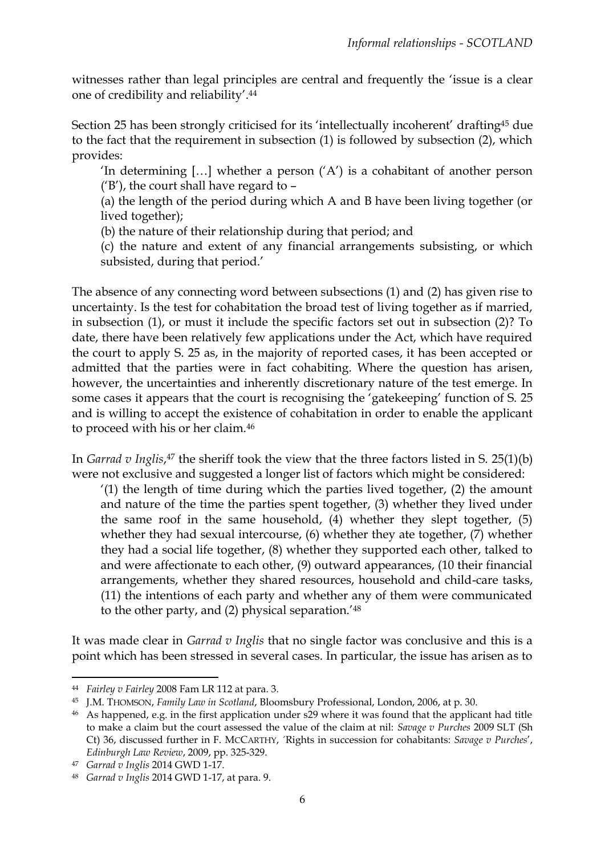witnesses rather than legal principles are central and frequently the 'issue is a clear one of credibility and reliability'. 44

Section 25 has been strongly criticised for its 'intellectually incoherent' drafting<sup>45</sup> due to the fact that the requirement in subsection (1) is followed by subsection (2), which provides:

'In determining  $[...]$  whether a person  $(A')$  is a cohabitant of another person ('B'), the court shall have regard to –

(a) the length of the period during which A and B have been living together (or lived together);

(b) the nature of their relationship during that period; and

(c) the nature and extent of any financial arrangements subsisting, or which subsisted, during that period.'

The absence of any connecting word between subsections (1) and (2) has given rise to uncertainty. Is the test for cohabitation the broad test of living together as if married, in subsection (1), or must it include the specific factors set out in subsection (2)? To date, there have been relatively few applications under the Act, which have required the court to apply S. 25 as, in the majority of reported cases, it has been accepted or admitted that the parties were in fact cohabiting. Where the question has arisen, however, the uncertainties and inherently discretionary nature of the test emerge. In some cases it appears that the court is recognising the 'gatekeeping' function of S. 25 and is willing to accept the existence of cohabitation in order to enable the applicant to proceed with his or her claim.<sup>46</sup>

In *Garrad v Inglis*, <sup>47</sup> the sheriff took the view that the three factors listed in S. 25(1)(b) were not exclusive and suggested a longer list of factors which might be considered:

'(1) the length of time during which the parties lived together, (2) the amount and nature of the time the parties spent together, (3) whether they lived under the same roof in the same household, (4) whether they slept together, (5) whether they had sexual intercourse, (6) whether they ate together, (7) whether they had a social life together, (8) whether they supported each other, talked to and were affectionate to each other, (9) outward appearances, (10 their financial arrangements, whether they shared resources, household and child-care tasks, (11) the intentions of each party and whether any of them were communicated to the other party, and (2) physical separation.' 48

It was made clear in *Garrad v Inglis* that no single factor was conclusive and this is a point which has been stressed in several cases. In particular, the issue has arisen as to

1

<sup>44</sup> *Fairley v Fairley* 2008 Fam LR 112 at para. 3.

<sup>45</sup> J.M. THOMSON, *Family Law in Scotland*, Bloomsbury Professional, London, 2006, at p. 30.

<sup>46</sup> As happened, e.g. in the first application under s29 where it was found that the applicant had title to make a claim but the court assessed the value of the claim at nil: *Savage v Purches* 2009 SLT (Sh Ct) 36, discussed further in F. MCCARTHY, ´Rights in succession for cohabitants: *Savage v Purches*', *Edinburgh Law Review*, 2009, pp. 325-329.

<sup>47</sup> *Garrad v Inglis* 2014 GWD 1-17.

<sup>48</sup> *Garrad v Inglis* 2014 GWD 1-17, at para. 9.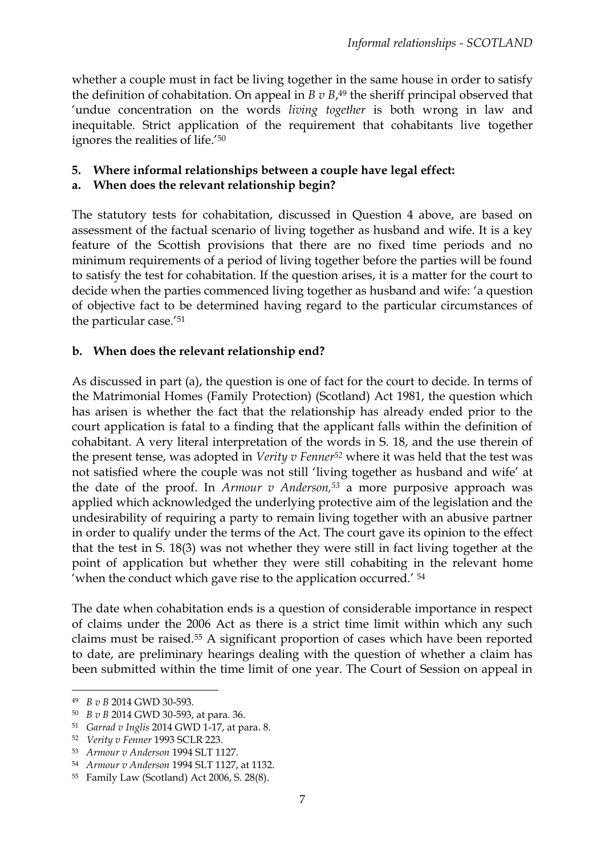whether a couple must in fact be living together in the same house in order to satisfy the definition of cohabitation. On appeal in *B v B*, <sup>49</sup> the sheriff principal observed that 'undue concentration on the words *living together* is both wrong in law and inequitable. Strict application of the requirement that cohabitants live together ignores the realities of life.'<sup>50</sup>

## **5. Where informal relationships between a couple have legal effect:**

### **a. When does the relevant relationship begin?**

The statutory tests for cohabitation, discussed in Question 4 above, are based on assessment of the factual scenario of living together as husband and wife. It is a key feature of the Scottish provisions that there are no fixed time periods and no minimum requirements of a period of living together before the parties will be found to satisfy the test for cohabitation. If the question arises, it is a matter for the court to decide when the parties commenced living together as husband and wife: 'a question of objective fact to be determined having regard to the particular circumstances of the particular case.'<sup>51</sup>

# **b. When does the relevant relationship end?**

As discussed in part (a), the question is one of fact for the court to decide. In terms of the Matrimonial Homes (Family Protection) (Scotland) Act 1981, the question which has arisen is whether the fact that the relationship has already ended prior to the court application is fatal to a finding that the applicant falls within the definition of cohabitant. A very literal interpretation of the words in S. 18, and the use therein of the present tense, was adopted in *Verity v Fenner<sup>52</sup>* where it was held that the test was not satisfied where the couple was not still 'living together as husband and wife' at the date of the proof. In *Armour v Anderson,<sup>53</sup>* a more purposive approach was applied which acknowledged the underlying protective aim of the legislation and the undesirability of requiring a party to remain living together with an abusive partner in order to qualify under the terms of the Act. The court gave its opinion to the effect that the test in S. 18(3) was not whether they were still in fact living together at the point of application but whether they were still cohabiting in the relevant home 'when the conduct which gave rise to the application occurred.' 54

The date when cohabitation ends is a question of considerable importance in respect of claims under the 2006 Act as there is a strict time limit within which any such claims must be raised.<sup>55</sup> A significant proportion of cases which have been reported to date, are preliminary hearings dealing with the question of whether a claim has been submitted within the time limit of one year. The Court of Session on appeal in

 $\overline{a}$ 

<sup>49</sup> *B v B* 2014 GWD 30-593.

<sup>50</sup> *B v B* 2014 GWD 30-593, at para. 36.

<sup>51</sup> *Garrad v Inglis* 2014 GWD 1-17, at para. 8.

<sup>52</sup> *Verity v Fenner* 1993 SCLR 223.

<sup>53</sup> *Armour v Anderson* 1994 SLT 1127.

<sup>54</sup> *Armour v Anderson* 1994 SLT 1127, at 1132.

<sup>55</sup> Family Law (Scotland) Act 2006, S. 28(8).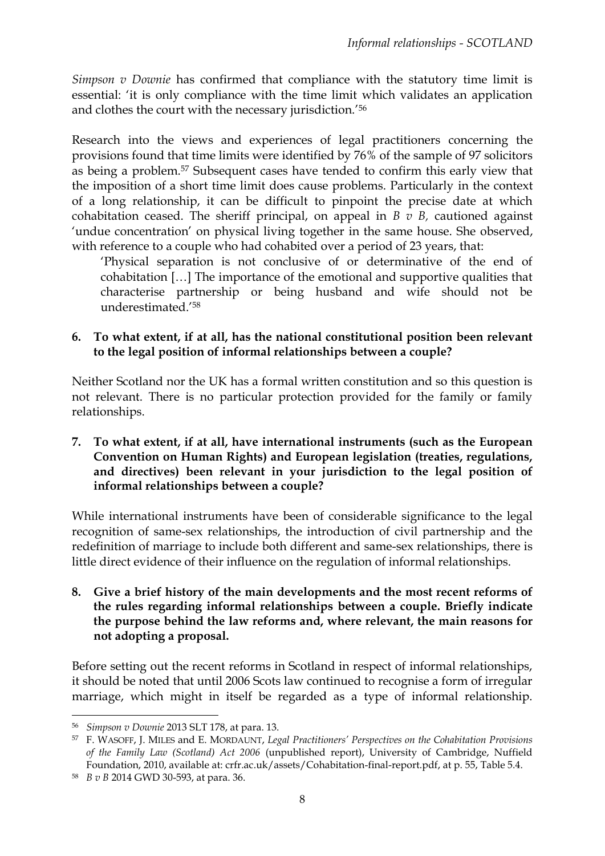*Simpson v Downie* has confirmed that compliance with the statutory time limit is essential: 'it is only compliance with the time limit which validates an application and clothes the court with the necessary jurisdiction.' 56

Research into the views and experiences of legal practitioners concerning the provisions found that time limits were identified by 76% of the sample of 97 solicitors as being a problem.<sup>57</sup> Subsequent cases have tended to confirm this early view that the imposition of a short time limit does cause problems. Particularly in the context of a long relationship, it can be difficult to pinpoint the precise date at which cohabitation ceased. The sheriff principal, on appeal in *B v B,* cautioned against 'undue concentration' on physical living together in the same house. She observed, with reference to a couple who had cohabited over a period of 23 years, that:

'Physical separation is not conclusive of or determinative of the end of cohabitation […] The importance of the emotional and supportive qualities that characterise partnership or being husband and wife should not be underestimated.' 58

#### **6. To what extent, if at all, has the national constitutional position been relevant to the legal position of informal relationships between a couple?**

Neither Scotland nor the UK has a formal written constitution and so this question is not relevant. There is no particular protection provided for the family or family relationships.

**7. To what extent, if at all, have international instruments (such as the European Convention on Human Rights) and European legislation (treaties, regulations, and directives) been relevant in your jurisdiction to the legal position of informal relationships between a couple?**

While international instruments have been of considerable significance to the legal recognition of same-sex relationships, the introduction of civil partnership and the redefinition of marriage to include both different and same-sex relationships, there is little direct evidence of their influence on the regulation of informal relationships.

**8. Give a brief history of the main developments and the most recent reforms of the rules regarding informal relationships between a couple. Briefly indicate the purpose behind the law reforms and, where relevant, the main reasons for not adopting a proposal.**

Before setting out the recent reforms in Scotland in respect of informal relationships, it should be noted that until 2006 Scots law continued to recognise a form of irregular marriage, which might in itself be regarded as a type of informal relationship.

<sup>56</sup> *Simpson v Downie* 2013 SLT 178, at para. 13.

<sup>57</sup> F. WASOFF, J. MILES and E. MORDAUNT, *Legal Practitioners' Perspectives on the Cohabitation Provisions of the Family Law (Scotland) Act 2006* (unpublished report), University of Cambridge, Nuffield Foundation, 2010, available at: crfr.ac.uk/assets/Cohabitation-final-report.pdf, at p. 55, Table 5.4.

<sup>58</sup> *B v B* 2014 GWD 30-593, at para. 36.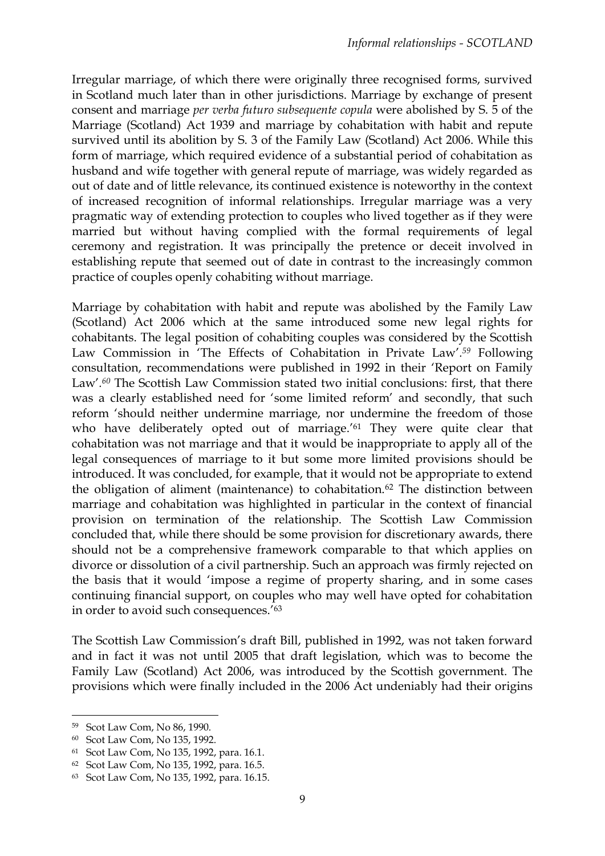Irregular marriage, of which there were originally three recognised forms, survived in Scotland much later than in other jurisdictions. Marriage by exchange of present consent and marriage *per verba futuro subsequente copula* were abolished by S. 5 of the Marriage (Scotland) Act 1939 and marriage by cohabitation with habit and repute survived until its abolition by S. 3 of the Family Law (Scotland) Act 2006. While this form of marriage, which required evidence of a substantial period of cohabitation as husband and wife together with general repute of marriage, was widely regarded as out of date and of little relevance, its continued existence is noteworthy in the context of increased recognition of informal relationships. Irregular marriage was a very pragmatic way of extending protection to couples who lived together as if they were married but without having complied with the formal requirements of legal ceremony and registration. It was principally the pretence or deceit involved in establishing repute that seemed out of date in contrast to the increasingly common practice of couples openly cohabiting without marriage.

Marriage by cohabitation with habit and repute was abolished by the Family Law (Scotland) Act 2006 which at the same introduced some new legal rights for cohabitants. The legal position of cohabiting couples was considered by the Scottish Law Commission in 'The Effects of Cohabitation in Private Law'*. <sup>59</sup>* Following consultation, recommendations were published in 1992 in their 'Report on Family Law'*. <sup>60</sup>* The Scottish Law Commission stated two initial conclusions: first, that there was a clearly established need for 'some limited reform' and secondly, that such reform 'should neither undermine marriage, nor undermine the freedom of those who have deliberately opted out of marriage.<sup>'61</sup> They were quite clear that cohabitation was not marriage and that it would be inappropriate to apply all of the legal consequences of marriage to it but some more limited provisions should be introduced. It was concluded, for example, that it would not be appropriate to extend the obligation of aliment (maintenance) to cohabitation.<sup>62</sup> The distinction between marriage and cohabitation was highlighted in particular in the context of financial provision on termination of the relationship. The Scottish Law Commission concluded that, while there should be some provision for discretionary awards, there should not be a comprehensive framework comparable to that which applies on divorce or dissolution of a civil partnership. Such an approach was firmly rejected on the basis that it would 'impose a regime of property sharing, and in some cases continuing financial support, on couples who may well have opted for cohabitation in order to avoid such consequences.' 63

The Scottish Law Commission's draft Bill, published in 1992, was not taken forward and in fact it was not until 2005 that draft legislation, which was to become the Family Law (Scotland) Act 2006, was introduced by the Scottish government. The provisions which were finally included in the 2006 Act undeniably had their origins

<sup>59</sup> Scot Law Com, No 86, 1990.

<sup>60</sup> Scot Law Com, No 135, 1992.

<sup>61</sup> Scot Law Com, No 135, 1992, para. 16.1.

<sup>62</sup> Scot Law Com, No 135, 1992, para. 16.5.

<sup>63</sup> Scot Law Com, No 135, 1992, para. 16.15.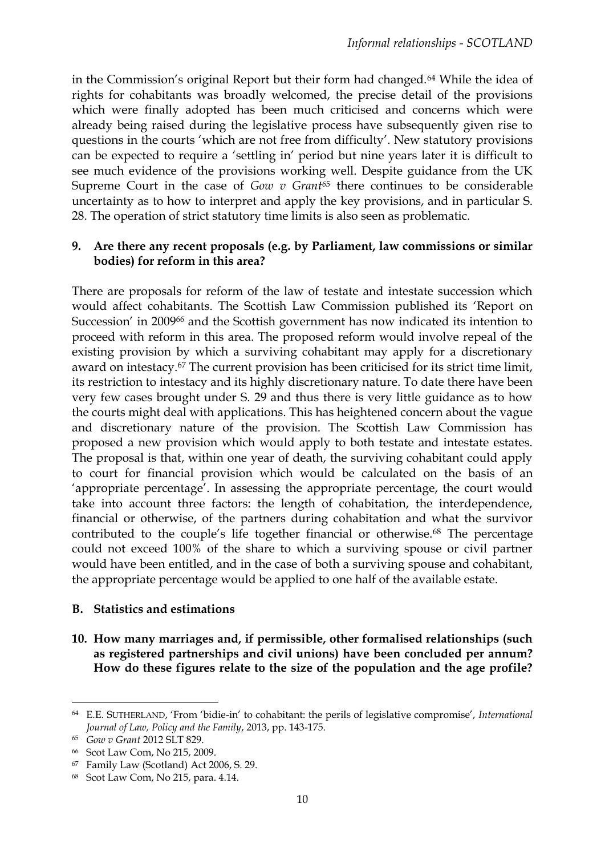in the Commission's original Report but their form had changed.<sup>64</sup> While the idea of rights for cohabitants was broadly welcomed, the precise detail of the provisions which were finally adopted has been much criticised and concerns which were already being raised during the legislative process have subsequently given rise to questions in the courts 'which are not free from difficulty'. New statutory provisions can be expected to require a 'settling in' period but nine years later it is difficult to see much evidence of the provisions working well. Despite guidance from the UK Supreme Court in the case of *Gow v Grant<sup>65</sup>* there continues to be considerable uncertainty as to how to interpret and apply the key provisions, and in particular S. 28. The operation of strict statutory time limits is also seen as problematic.

#### **9. Are there any recent proposals (e.g. by Parliament, law commissions or similar bodies) for reform in this area?**

There are proposals for reform of the law of testate and intestate succession which would affect cohabitants. The Scottish Law Commission published its 'Report on Succession' in 2009<sup>66</sup> and the Scottish government has now indicated its intention to proceed with reform in this area. The proposed reform would involve repeal of the existing provision by which a surviving cohabitant may apply for a discretionary award on intestacy.<sup>67</sup> The current provision has been criticised for its strict time limit, its restriction to intestacy and its highly discretionary nature. To date there have been very few cases brought under S. 29 and thus there is very little guidance as to how the courts might deal with applications. This has heightened concern about the vague and discretionary nature of the provision. The Scottish Law Commission has proposed a new provision which would apply to both testate and intestate estates. The proposal is that, within one year of death, the surviving cohabitant could apply to court for financial provision which would be calculated on the basis of an 'appropriate percentage'. In assessing the appropriate percentage, the court would take into account three factors: the length of cohabitation, the interdependence, financial or otherwise, of the partners during cohabitation and what the survivor contributed to the couple's life together financial or otherwise.<sup>68</sup> The percentage could not exceed 100% of the share to which a surviving spouse or civil partner would have been entitled, and in the case of both a surviving spouse and cohabitant, the appropriate percentage would be applied to one half of the available estate.

#### **B. Statistics and estimations**

**10. How many marriages and, if permissible, other formalised relationships (such as registered partnerships and civil unions) have been concluded per annum? How do these figures relate to the size of the population and the age profile?** 

 $\overline{a}$ 

<sup>64</sup> E.E. SUTHERLAND, 'From 'bidie-in' to cohabitant: the perils of legislative compromise', *International Journal of Law, Policy and the Family*, 2013, pp. 143-175.

<sup>65</sup> *Gow v Grant* 2012 SLT 829.

<sup>66</sup> Scot Law Com, No 215, 2009.

<sup>67</sup> Family Law (Scotland) Act 2006, S. 29.

<sup>68</sup> Scot Law Com, No 215, para. 4.14.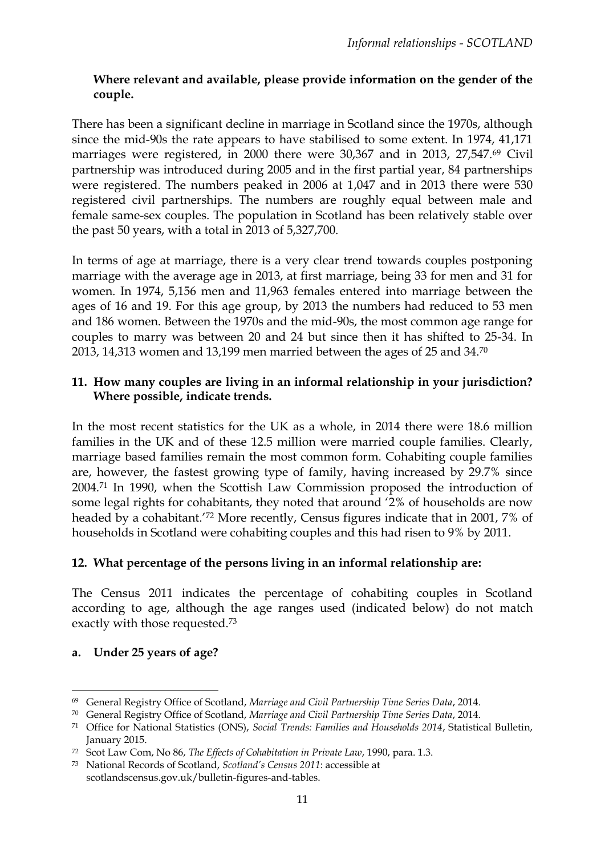## **Where relevant and available, please provide information on the gender of the couple.**

There has been a significant decline in marriage in Scotland since the 1970s, although since the mid-90s the rate appears to have stabilised to some extent. In 1974, 41,171 marriages were registered, in 2000 there were 30,367 and in 2013, 27,547.<sup>69</sup> Civil partnership was introduced during 2005 and in the first partial year, 84 partnerships were registered. The numbers peaked in 2006 at 1,047 and in 2013 there were 530 registered civil partnerships. The numbers are roughly equal between male and female same-sex couples. The population in Scotland has been relatively stable over the past 50 years, with a total in 2013 of 5,327,700.

In terms of age at marriage, there is a very clear trend towards couples postponing marriage with the average age in 2013, at first marriage, being 33 for men and 31 for women. In 1974, 5,156 men and 11,963 females entered into marriage between the ages of 16 and 19. For this age group, by 2013 the numbers had reduced to 53 men and 186 women. Between the 1970s and the mid-90s, the most common age range for couples to marry was between 20 and 24 but since then it has shifted to 25-34. In 2013, 14,313 women and 13,199 men married between the ages of 25 and 34.<sup>70</sup>

### **11. How many couples are living in an informal relationship in your jurisdiction? Where possible, indicate trends.**

In the most recent statistics for the UK as a whole, in 2014 there were 18.6 million families in the UK and of these 12.5 million were married couple families. Clearly, marriage based families remain the most common form. Cohabiting couple families are, however, the fastest growing type of family, having increased by 29.7% since 2004.<sup>71</sup> In 1990, when the Scottish Law Commission proposed the introduction of some legal rights for cohabitants, they noted that around '2% of households are now headed by a cohabitant.'<sup>72</sup> More recently, Census figures indicate that in 2001, 7% of households in Scotland were cohabiting couples and this had risen to 9% by 2011.

### **12. What percentage of the persons living in an informal relationship are:**

The Census 2011 indicates the percentage of cohabiting couples in Scotland according to age, although the age ranges used (indicated below) do not match exactly with those requested.<sup>73</sup>

### **a. Under 25 years of age?**

 $\overline{a}$ <sup>69</sup> General Registry Office of Scotland, *Marriage and Civil Partnership Time Series Data*, 2014.

<sup>70</sup> General Registry Office of Scotland, *Marriage and Civil Partnership Time Series Data*, 2014.

<sup>71</sup> Office for National Statistics (ONS), *Social Trends: Families and Households 2014*, Statistical Bulletin, January 2015.

<sup>72</sup> Scot Law Com, No 86, *The Effects of Cohabitation in Private Law*, 1990, para. 1.3.

<sup>73</sup> National Records of Scotland, *Scotland's Census 2011*: accessible at

scotlandscensus.gov.uk/bulletin-figures-and-tables.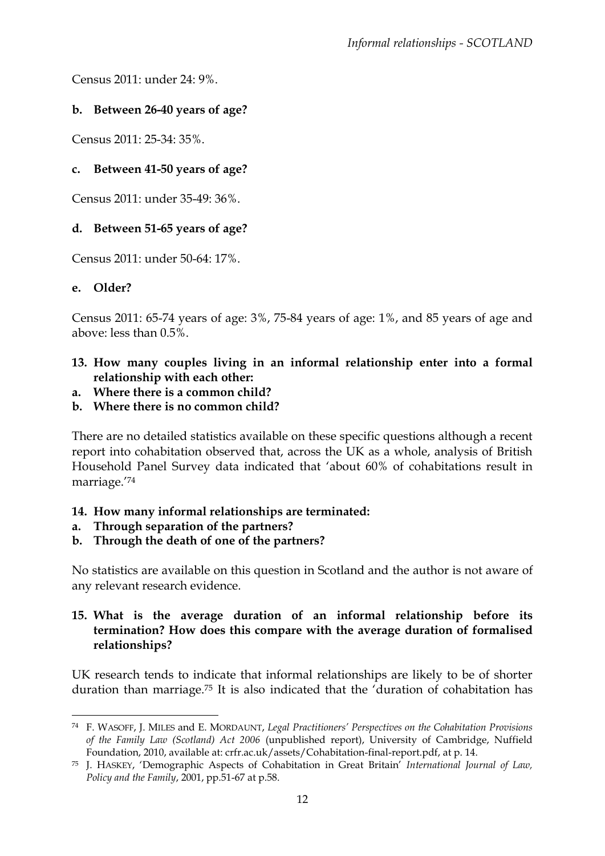Census 2011: under 24: 9%.

# **b. Between 26-40 years of age?**

Census 2011: 25-34: 35%.

## **c. Between 41-50 years of age?**

Census 2011: under 35-49: 36%.

### **d. Between 51-65 years of age?**

Census 2011: under 50-64: 17%.

### **e. Older?**

**.** 

Census 2011: 65-74 years of age: 3%, 75-84 years of age: 1%, and 85 years of age and above: less than 0.5%.

- **13. How many couples living in an informal relationship enter into a formal relationship with each other:**
- **a. Where there is a common child?**
- **b. Where there is no common child?**

There are no detailed statistics available on these specific questions although a recent report into cohabitation observed that, across the UK as a whole, analysis of British Household Panel Survey data indicated that 'about 60% of cohabitations result in marriage.' 74

### **14. How many informal relationships are terminated:**

- **a. Through separation of the partners?**
- **b. Through the death of one of the partners?**

No statistics are available on this question in Scotland and the author is not aware of any relevant research evidence.

### **15. What is the average duration of an informal relationship before its termination? How does this compare with the average duration of formalised relationships?**

UK research tends to indicate that informal relationships are likely to be of shorter duration than marriage.<sup>75</sup> It is also indicated that the 'duration of cohabitation has

<sup>74</sup> F. WASOFF, J. MILES and E. MORDAUNT, *Legal Practitioners' Perspectives on the Cohabitation Provisions of the Family Law (Scotland) Act 2006* (unpublished report), University of Cambridge, Nuffield Foundation, 2010, available at: crfr.ac.uk/assets/Cohabitation-final-report.pdf, at p. 14.

<sup>75</sup> J. HASKEY, 'Demographic Aspects of Cohabitation in Great Britain' *International Journal of Law, Policy and the Family*, 2001, pp.51-67 at p.58.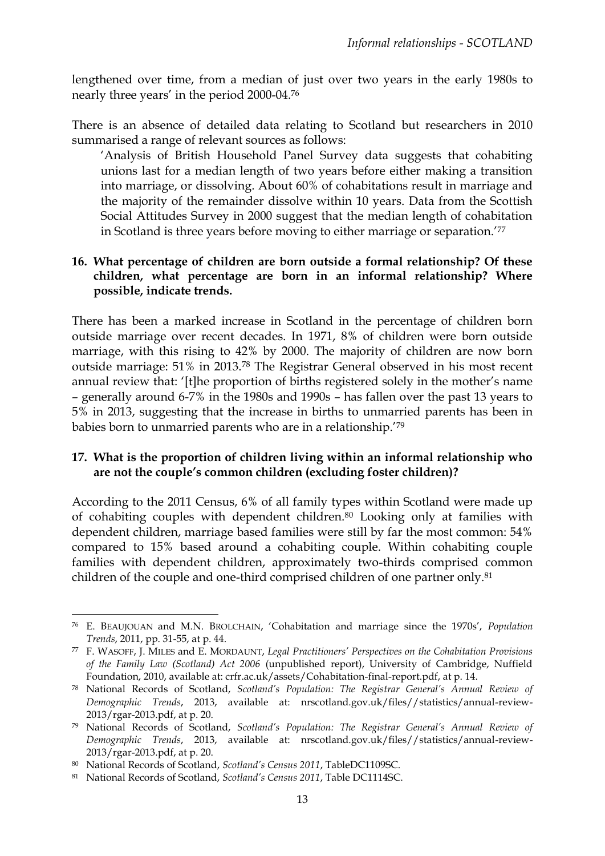lengthened over time, from a median of just over two years in the early 1980s to nearly three years' in the period 2000-04.<sup>76</sup>

There is an absence of detailed data relating to Scotland but researchers in 2010 summarised a range of relevant sources as follows:

'Analysis of British Household Panel Survey data suggests that cohabiting unions last for a median length of two years before either making a transition into marriage, or dissolving. About 60% of cohabitations result in marriage and the majority of the remainder dissolve within 10 years. Data from the Scottish Social Attitudes Survey in 2000 suggest that the median length of cohabitation in Scotland is three years before moving to either marriage or separation.' 77

### **16. What percentage of children are born outside a formal relationship? Of these children, what percentage are born in an informal relationship? Where possible, indicate trends.**

There has been a marked increase in Scotland in the percentage of children born outside marriage over recent decades. In 1971, 8% of children were born outside marriage, with this rising to 42% by 2000. The majority of children are now born outside marriage: 51% in 2013.<sup>78</sup> The Registrar General observed in his most recent annual review that: '[t]he proportion of births registered solely in the mother's name – generally around 6-7% in the 1980s and 1990s – has fallen over the past 13 years to 5% in 2013, suggesting that the increase in births to unmarried parents has been in babies born to unmarried parents who are in a relationship.'<sup>79</sup>

### **17. What is the proportion of children living within an informal relationship who are not the couple's common children (excluding foster children)?**

According to the 2011 Census, 6% of all family types within Scotland were made up of cohabiting couples with dependent children.<sup>80</sup> Looking only at families with dependent children, marriage based families were still by far the most common: 54% compared to 15% based around a cohabiting couple. Within cohabiting couple families with dependent children, approximately two-thirds comprised common children of the couple and one-third comprised children of one partner only.<sup>81</sup>

1

<sup>76</sup> E. BEAUJOUAN and M.N. BROLCHAIN, 'Cohabitation and marriage since the 1970s', *Population Trends*, 2011, pp. 31-55, at p. 44.

<sup>77</sup> F. WASOFF, J. MILES and E. MORDAUNT, *Legal Practitioners' Perspectives on the Cohabitation Provisions of the Family Law (Scotland) Act 2006* (unpublished report), University of Cambridge, Nuffield Foundation, 2010, available at: crfr.ac.uk/assets/Cohabitation-final-report.pdf, at p. 14.

<sup>78</sup> National Records of Scotland, *Scotland's Population: The Registrar General's Annual Review of Demographic Trends*, 2013, available at: nrscotland.gov.uk/files//statistics/annual-review-2013/rgar-2013.pdf, at p. 20.

<sup>79</sup> National Records of Scotland, *Scotland's Population: The Registrar General's Annual Review of Demographic Trends*, 2013, available at: nrscotland.gov.uk/files//statistics/annual-review-2013/rgar-2013.pdf, at p. 20.

<sup>80</sup> National Records of Scotland, *Scotland's Census 2011*, TableDC1109SC.

<sup>81</sup> National Records of Scotland, *Scotland's Census 2011*, Table DC1114SC.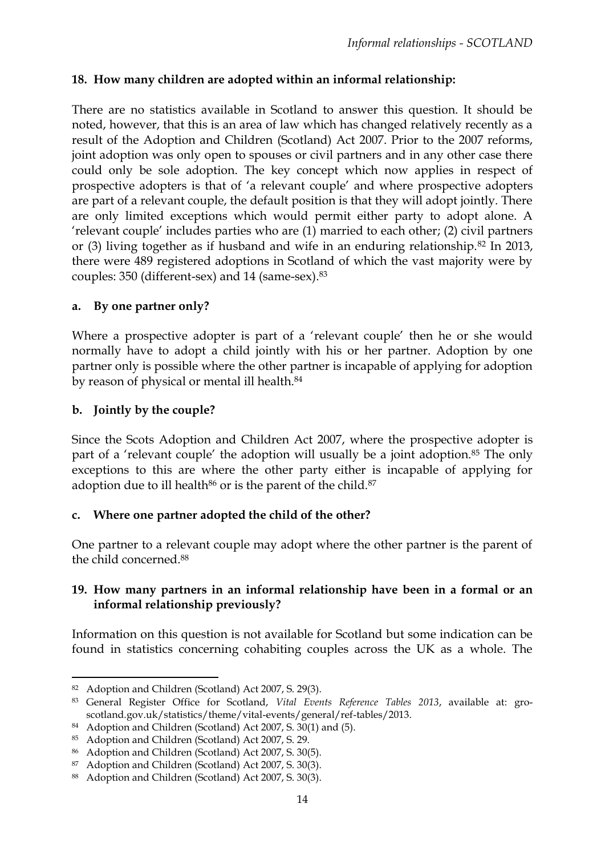# **18. How many children are adopted within an informal relationship:**

There are no statistics available in Scotland to answer this question. It should be noted, however, that this is an area of law which has changed relatively recently as a result of the Adoption and Children (Scotland) Act 2007. Prior to the 2007 reforms, joint adoption was only open to spouses or civil partners and in any other case there could only be sole adoption. The key concept which now applies in respect of prospective adopters is that of 'a relevant couple' and where prospective adopters are part of a relevant couple, the default position is that they will adopt jointly. There are only limited exceptions which would permit either party to adopt alone. A 'relevant couple' includes parties who are (1) married to each other; (2) civil partners or (3) living together as if husband and wife in an enduring relationship.<sup>82</sup> In 2013, there were 489 registered adoptions in Scotland of which the vast majority were by couples: 350 (different-sex) and 14 (same-sex).<sup>83</sup>

#### **a. By one partner only?**

Where a prospective adopter is part of a 'relevant couple' then he or she would normally have to adopt a child jointly with his or her partner. Adoption by one partner only is possible where the other partner is incapable of applying for adoption by reason of physical or mental ill health.<sup>84</sup>

### **b. Jointly by the couple?**

Since the Scots Adoption and Children Act 2007, where the prospective adopter is part of a 'relevant couple' the adoption will usually be a joint adoption.<sup>85</sup> The only exceptions to this are where the other party either is incapable of applying for adoption due to ill health $86$  or is the parent of the child. $87$ 

### **c. Where one partner adopted the child of the other?**

One partner to a relevant couple may adopt where the other partner is the parent of the child concerned.<sup>88</sup>

#### **19. How many partners in an informal relationship have been in a formal or an informal relationship previously?**

Information on this question is not available for Scotland but some indication can be found in statistics concerning cohabiting couples across the UK as a whole. The

<sup>1</sup> <sup>82</sup> Adoption and Children (Scotland) Act 2007, S. 29(3).

<sup>83</sup> General Register Office for Scotland, *Vital Events Reference Tables 2013*, available at: groscotland.gov.uk/statistics/theme/vital-events/general/ref-tables/2013.

<sup>84</sup> Adoption and Children (Scotland) Act 2007, S. 30(1) and (5).

<sup>85</sup> Adoption and Children (Scotland) Act 2007, S. 29.

<sup>86</sup> Adoption and Children (Scotland) Act 2007, S. 30(5).

<sup>87</sup> Adoption and Children (Scotland) Act 2007, S. 30(3).

<sup>88</sup> Adoption and Children (Scotland) Act 2007, S. 30(3).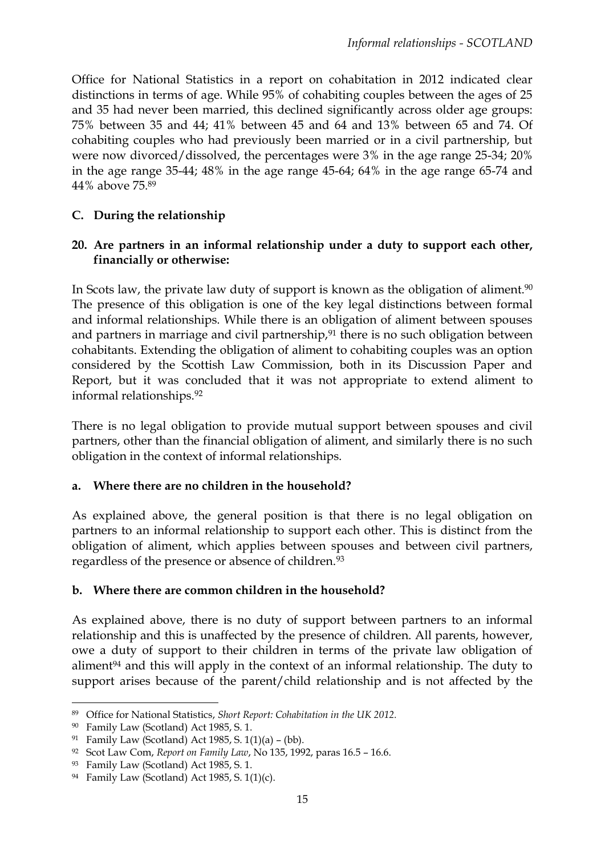Office for National Statistics in a report on cohabitation in 2012 indicated clear distinctions in terms of age. While 95% of cohabiting couples between the ages of 25 and 35 had never been married, this declined significantly across older age groups: 75% between 35 and 44; 41% between 45 and 64 and 13% between 65 and 74. Of cohabiting couples who had previously been married or in a civil partnership, but were now divorced/dissolved, the percentages were 3% in the age range 25-34; 20% in the age range 35-44; 48% in the age range 45-64; 64% in the age range 65-74 and 44% above 75.<sup>89</sup>

## **C. During the relationship**

### **20. Are partners in an informal relationship under a duty to support each other, financially or otherwise:**

In Scots law, the private law duty of support is known as the obligation of aliment.<sup>90</sup> The presence of this obligation is one of the key legal distinctions between formal and informal relationships. While there is an obligation of aliment between spouses and partners in marriage and civil partnership,<sup>91</sup> there is no such obligation between cohabitants. Extending the obligation of aliment to cohabiting couples was an option considered by the Scottish Law Commission, both in its Discussion Paper and Report, but it was concluded that it was not appropriate to extend aliment to informal relationships.<sup>92</sup>

There is no legal obligation to provide mutual support between spouses and civil partners, other than the financial obligation of aliment, and similarly there is no such obligation in the context of informal relationships.

### **a. Where there are no children in the household?**

As explained above, the general position is that there is no legal obligation on partners to an informal relationship to support each other. This is distinct from the obligation of aliment, which applies between spouses and between civil partners, regardless of the presence or absence of children.<sup>93</sup>

### **b. Where there are common children in the household?**

As explained above, there is no duty of support between partners to an informal relationship and this is unaffected by the presence of children. All parents, however, owe a duty of support to their children in terms of the private law obligation of aliment $94$  and this will apply in the context of an informal relationship. The duty to support arises because of the parent/child relationship and is not affected by the

 $\overline{a}$ 

<sup>89</sup> Office for National Statistics, *Short Report: Cohabitation in the UK 2012.*

<sup>90</sup> Family Law (Scotland) Act 1985, S. 1.

<sup>&</sup>lt;sup>91</sup> Family Law (Scotland) Act 1985, S.  $1(1)(a) - (bb)$ .

<sup>92</sup> Scot Law Com, *Report on Family Law*, No 135, 1992, paras 16.5 – 16.6.

<sup>93</sup> Family Law (Scotland) Act 1985, S. 1.

<sup>94</sup> Family Law (Scotland) Act 1985, S. 1(1)(c).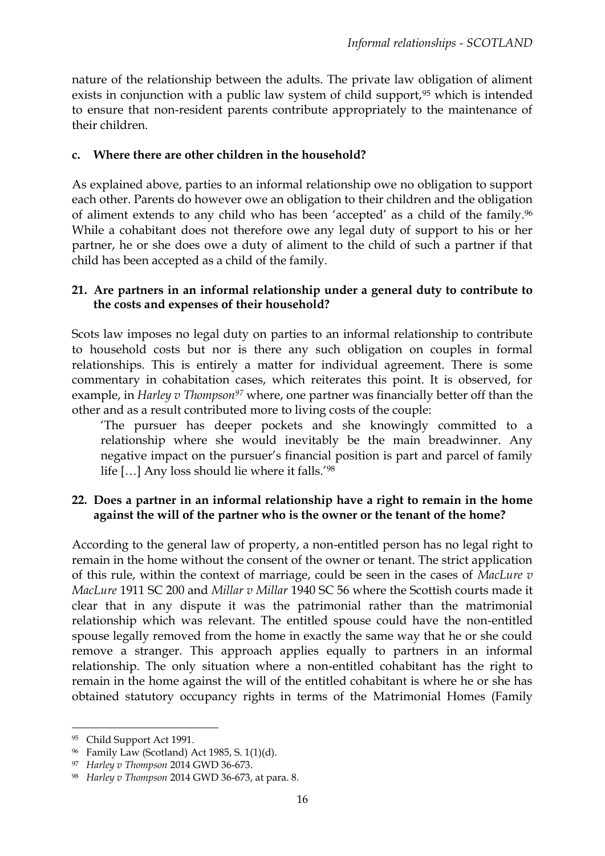nature of the relationship between the adults. The private law obligation of aliment exists in conjunction with a public law system of child support,<sup>95</sup> which is intended to ensure that non-resident parents contribute appropriately to the maintenance of their children.

### **c. Where there are other children in the household?**

As explained above, parties to an informal relationship owe no obligation to support each other. Parents do however owe an obligation to their children and the obligation of aliment extends to any child who has been 'accepted' as a child of the family.<sup>96</sup> While a cohabitant does not therefore owe any legal duty of support to his or her partner, he or she does owe a duty of aliment to the child of such a partner if that child has been accepted as a child of the family.

#### **21. Are partners in an informal relationship under a general duty to contribute to the costs and expenses of their household?**

Scots law imposes no legal duty on parties to an informal relationship to contribute to household costs but nor is there any such obligation on couples in formal relationships. This is entirely a matter for individual agreement. There is some commentary in cohabitation cases, which reiterates this point. It is observed, for example, in *Harley v Thompson<sup>97</sup>* where, one partner was financially better off than the other and as a result contributed more to living costs of the couple:

'The pursuer has deeper pockets and she knowingly committed to a relationship where she would inevitably be the main breadwinner. Any negative impact on the pursuer's financial position is part and parcel of family life […] Any loss should lie where it falls.' 98

### **22. Does a partner in an informal relationship have a right to remain in the home against the will of the partner who is the owner or the tenant of the home?**

According to the general law of property, a non-entitled person has no legal right to remain in the home without the consent of the owner or tenant. The strict application of this rule, within the context of marriage, could be seen in the cases of *MacLure v MacLure* 1911 SC 200 and *Millar v Millar* 1940 SC 56 where the Scottish courts made it clear that in any dispute it was the patrimonial rather than the matrimonial relationship which was relevant. The entitled spouse could have the non-entitled spouse legally removed from the home in exactly the same way that he or she could remove a stranger. This approach applies equally to partners in an informal relationship. The only situation where a non-entitled cohabitant has the right to remain in the home against the will of the entitled cohabitant is where he or she has obtained statutory occupancy rights in terms of the Matrimonial Homes (Family

<sup>95</sup> Child Support Act 1991.

<sup>96</sup> Family Law (Scotland) Act 1985, S. 1(1)(d).

<sup>97</sup> *Harley v Thompson* 2014 GWD 36-673.

<sup>98</sup> *Harley v Thompson* 2014 GWD 36-673, at para. 8.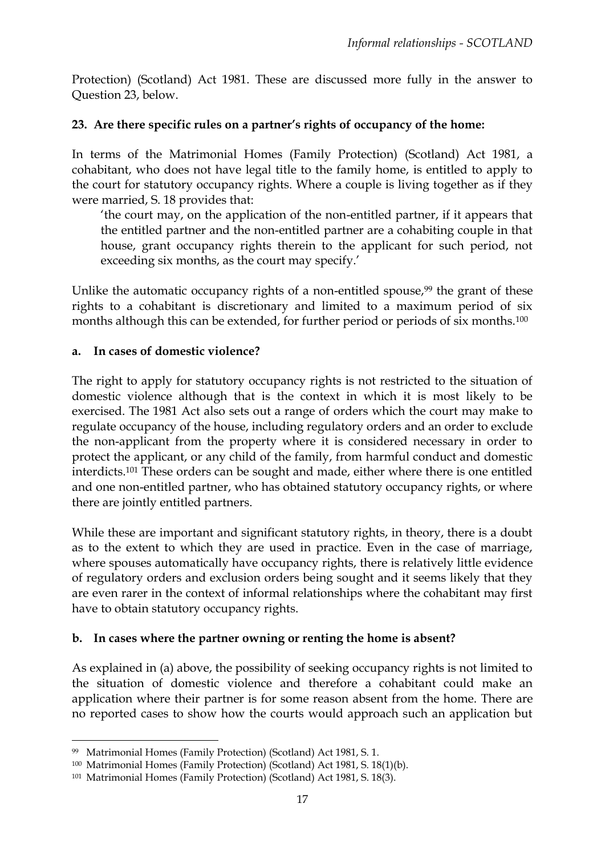Protection) (Scotland) Act 1981. These are discussed more fully in the answer to Question 23, below.

### **23. Are there specific rules on a partner's rights of occupancy of the home:**

In terms of the Matrimonial Homes (Family Protection) (Scotland) Act 1981, a cohabitant, who does not have legal title to the family home, is entitled to apply to the court for statutory occupancy rights. Where a couple is living together as if they were married, S. 18 provides that:

'the court may, on the application of the non-entitled partner, if it appears that the entitled partner and the non-entitled partner are a cohabiting couple in that house, grant occupancy rights therein to the applicant for such period, not exceeding six months, as the court may specify.'

Unlike the automatic occupancy rights of a non-entitled spouse, $99$  the grant of these rights to a cohabitant is discretionary and limited to a maximum period of six months although this can be extended, for further period or periods of six months.<sup>100</sup>

#### **a. In cases of domestic violence?**

The right to apply for statutory occupancy rights is not restricted to the situation of domestic violence although that is the context in which it is most likely to be exercised. The 1981 Act also sets out a range of orders which the court may make to regulate occupancy of the house, including regulatory orders and an order to exclude the non-applicant from the property where it is considered necessary in order to protect the applicant, or any child of the family, from harmful conduct and domestic interdicts.<sup>101</sup> These orders can be sought and made, either where there is one entitled and one non-entitled partner, who has obtained statutory occupancy rights, or where there are jointly entitled partners.

While these are important and significant statutory rights, in theory, there is a doubt as to the extent to which they are used in practice. Even in the case of marriage, where spouses automatically have occupancy rights, there is relatively little evidence of regulatory orders and exclusion orders being sought and it seems likely that they are even rarer in the context of informal relationships where the cohabitant may first have to obtain statutory occupancy rights.

#### **b. In cases where the partner owning or renting the home is absent?**

As explained in (a) above, the possibility of seeking occupancy rights is not limited to the situation of domestic violence and therefore a cohabitant could make an application where their partner is for some reason absent from the home. There are no reported cases to show how the courts would approach such an application but

<sup>99</sup> Matrimonial Homes (Family Protection) (Scotland) Act 1981, S. 1.

<sup>100</sup> Matrimonial Homes (Family Protection) (Scotland) Act 1981, S. 18(1)(b).

<sup>101</sup> Matrimonial Homes (Family Protection) (Scotland) Act 1981, S. 18(3).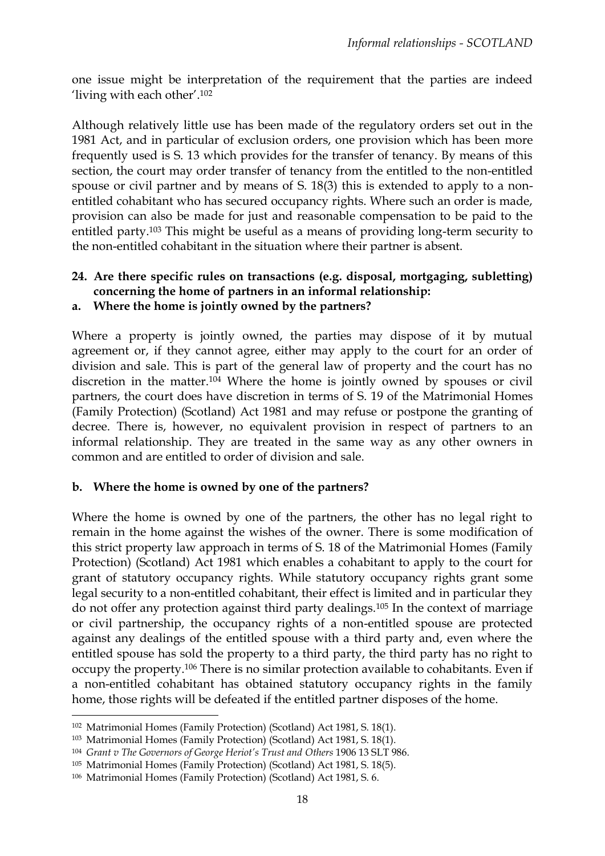one issue might be interpretation of the requirement that the parties are indeed 'living with each other'. 102

Although relatively little use has been made of the regulatory orders set out in the 1981 Act, and in particular of exclusion orders, one provision which has been more frequently used is S. 13 which provides for the transfer of tenancy. By means of this section, the court may order transfer of tenancy from the entitled to the non-entitled spouse or civil partner and by means of S. 18(3) this is extended to apply to a nonentitled cohabitant who has secured occupancy rights. Where such an order is made, provision can also be made for just and reasonable compensation to be paid to the entitled party.<sup>103</sup> This might be useful as a means of providing long-term security to the non-entitled cohabitant in the situation where their partner is absent.

# **24. Are there specific rules on transactions (e.g. disposal, mortgaging, subletting) concerning the home of partners in an informal relationship:**

**a. Where the home is jointly owned by the partners?**

Where a property is jointly owned, the parties may dispose of it by mutual agreement or, if they cannot agree, either may apply to the court for an order of division and sale. This is part of the general law of property and the court has no discretion in the matter.<sup>104</sup> Where the home is jointly owned by spouses or civil partners, the court does have discretion in terms of S. 19 of the Matrimonial Homes (Family Protection) (Scotland) Act 1981 and may refuse or postpone the granting of decree. There is, however, no equivalent provision in respect of partners to an informal relationship. They are treated in the same way as any other owners in common and are entitled to order of division and sale.

#### **b. Where the home is owned by one of the partners?**

Where the home is owned by one of the partners, the other has no legal right to remain in the home against the wishes of the owner. There is some modification of this strict property law approach in terms of S. 18 of the Matrimonial Homes (Family Protection) (Scotland) Act 1981 which enables a cohabitant to apply to the court for grant of statutory occupancy rights. While statutory occupancy rights grant some legal security to a non-entitled cohabitant, their effect is limited and in particular they do not offer any protection against third party dealings.<sup>105</sup> In the context of marriage or civil partnership, the occupancy rights of a non-entitled spouse are protected against any dealings of the entitled spouse with a third party and, even where the entitled spouse has sold the property to a third party, the third party has no right to occupy the property.<sup>106</sup> There is no similar protection available to cohabitants. Even if a non-entitled cohabitant has obtained statutory occupancy rights in the family home, those rights will be defeated if the entitled partner disposes of the home.

<sup>102</sup> Matrimonial Homes (Family Protection) (Scotland) Act 1981, S. 18(1).

<sup>103</sup> Matrimonial Homes (Family Protection) (Scotland) Act 1981, S. 18(1).

<sup>104</sup> *Grant v The Governors of George Heriot's Trust and Others* 1906 13 SLT 986.

<sup>105</sup> Matrimonial Homes (Family Protection) (Scotland) Act 1981, S. 18(5).

<sup>106</sup> Matrimonial Homes (Family Protection) (Scotland) Act 1981, S. 6.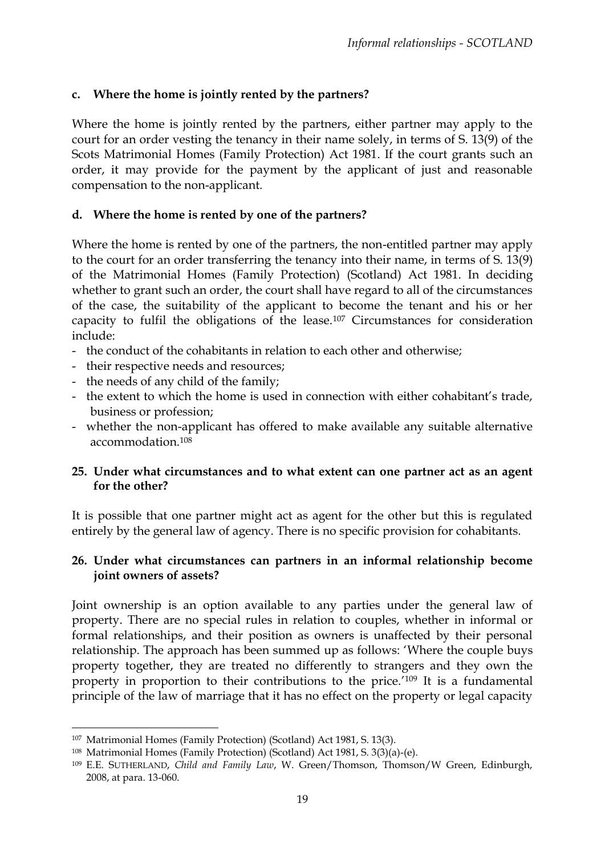### **c. Where the home is jointly rented by the partners?**

Where the home is jointly rented by the partners, either partner may apply to the court for an order vesting the tenancy in their name solely, in terms of S. 13(9) of the Scots Matrimonial Homes (Family Protection) Act 1981. If the court grants such an order, it may provide for the payment by the applicant of just and reasonable compensation to the non-applicant.

#### **d. Where the home is rented by one of the partners?**

Where the home is rented by one of the partners, the non-entitled partner may apply to the court for an order transferring the tenancy into their name, in terms of S. 13(9) of the Matrimonial Homes (Family Protection) (Scotland) Act 1981. In deciding whether to grant such an order, the court shall have regard to all of the circumstances of the case, the suitability of the applicant to become the tenant and his or her capacity to fulfil the obligations of the lease.<sup>107</sup> Circumstances for consideration include:

- the conduct of the cohabitants in relation to each other and otherwise;
- their respective needs and resources;
- the needs of any child of the family;
- the extent to which the home is used in connection with either cohabitant's trade, business or profession;
- whether the non-applicant has offered to make available any suitable alternative accommodation.<sup>108</sup>

### **25. Under what circumstances and to what extent can one partner act as an agent for the other?**

It is possible that one partner might act as agent for the other but this is regulated entirely by the general law of agency. There is no specific provision for cohabitants.

### **26. Under what circumstances can partners in an informal relationship become joint owners of assets?**

Joint ownership is an option available to any parties under the general law of property. There are no special rules in relation to couples, whether in informal or formal relationships, and their position as owners is unaffected by their personal relationship. The approach has been summed up as follows: 'Where the couple buys property together, they are treated no differently to strangers and they own the property in proportion to their contributions to the price.' <sup>109</sup> It is a fundamental principle of the law of marriage that it has no effect on the property or legal capacity

<sup>107</sup> Matrimonial Homes (Family Protection) (Scotland) Act 1981, S. 13(3).

<sup>108</sup> Matrimonial Homes (Family Protection) (Scotland) Act 1981, S. 3(3)(a)-(e).

<sup>109</sup> E.E. SUTHERLAND, *Child and Family Law*, W. Green/Thomson, Thomson/W Green, Edinburgh, 2008, at para. 13-060.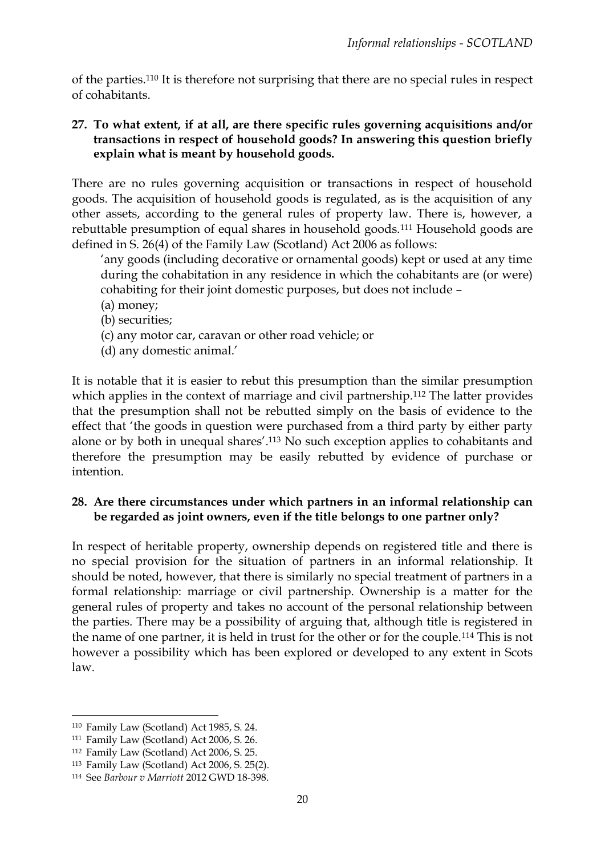of the parties.<sup>110</sup> It is therefore not surprising that there are no special rules in respect of cohabitants.

### **27. To what extent, if at all, are there specific rules governing acquisitions and/or transactions in respect of household goods? In answering this question briefly explain what is meant by household goods.**

There are no rules governing acquisition or transactions in respect of household goods. The acquisition of household goods is regulated, as is the acquisition of any other assets, according to the general rules of property law. There is, however, a rebuttable presumption of equal shares in household goods.<sup>111</sup> Household goods are defined in S. 26(4) of the Family Law (Scotland) Act 2006 as follows:

'any goods (including decorative or ornamental goods) kept or used at any time during the cohabitation in any residence in which the cohabitants are (or were) cohabiting for their joint domestic purposes, but does not include –

- (a) money;
- (b) securities;
- (c) any motor car, caravan or other road vehicle; or
- (d) any domestic animal.'

It is notable that it is easier to rebut this presumption than the similar presumption which applies in the context of marriage and civil partnership.<sup>112</sup> The latter provides that the presumption shall not be rebutted simply on the basis of evidence to the effect that 'the goods in question were purchased from a third party by either party alone or by both in unequal shares'. <sup>113</sup> No such exception applies to cohabitants and therefore the presumption may be easily rebutted by evidence of purchase or intention.

### **28. Are there circumstances under which partners in an informal relationship can be regarded as joint owners, even if the title belongs to one partner only?**

In respect of heritable property, ownership depends on registered title and there is no special provision for the situation of partners in an informal relationship. It should be noted, however, that there is similarly no special treatment of partners in a formal relationship: marriage or civil partnership. Ownership is a matter for the general rules of property and takes no account of the personal relationship between the parties. There may be a possibility of arguing that, although title is registered in the name of one partner, it is held in trust for the other or for the couple.<sup>114</sup> This is not however a possibility which has been explored or developed to any extent in Scots law.

<sup>110</sup> Family Law (Scotland) Act 1985, S. 24.

<sup>111</sup> Family Law (Scotland) Act 2006, S. 26.

<sup>112</sup> Family Law (Scotland) Act 2006, S. 25.

<sup>113</sup> Family Law (Scotland) Act 2006, S. 25(2).

<sup>114</sup> See *Barbour v Marriott* 2012 GWD 18-398.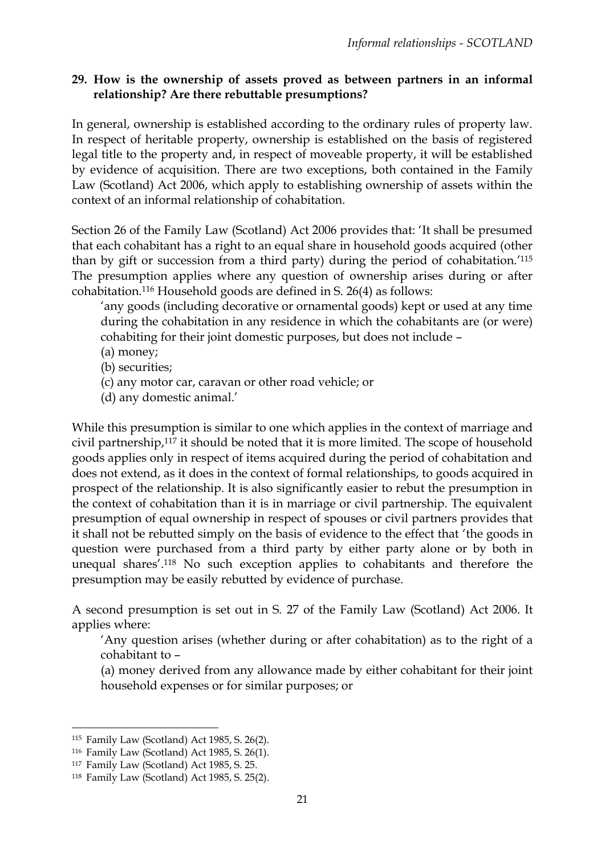### **29. How is the ownership of assets proved as between partners in an informal relationship? Are there rebuttable presumptions?**

In general, ownership is established according to the ordinary rules of property law. In respect of heritable property, ownership is established on the basis of registered legal title to the property and, in respect of moveable property, it will be established by evidence of acquisition. There are two exceptions, both contained in the Family Law (Scotland) Act 2006, which apply to establishing ownership of assets within the context of an informal relationship of cohabitation.

Section 26 of the Family Law (Scotland) Act 2006 provides that: 'It shall be presumed that each cohabitant has a right to an equal share in household goods acquired (other than by gift or succession from a third party) during the period of cohabitation.' 115 The presumption applies where any question of ownership arises during or after cohabitation.<sup>116</sup> Household goods are defined in S. 26(4) as follows:

'any goods (including decorative or ornamental goods) kept or used at any time during the cohabitation in any residence in which the cohabitants are (or were) cohabiting for their joint domestic purposes, but does not include –

- (a) money;
- (b) securities;
- (c) any motor car, caravan or other road vehicle; or
- (d) any domestic animal.'

While this presumption is similar to one which applies in the context of marriage and civil partnership,<sup>117</sup> it should be noted that it is more limited. The scope of household goods applies only in respect of items acquired during the period of cohabitation and does not extend, as it does in the context of formal relationships, to goods acquired in prospect of the relationship. It is also significantly easier to rebut the presumption in the context of cohabitation than it is in marriage or civil partnership. The equivalent presumption of equal ownership in respect of spouses or civil partners provides that it shall not be rebutted simply on the basis of evidence to the effect that 'the goods in question were purchased from a third party by either party alone or by both in unequal shares'. <sup>118</sup> No such exception applies to cohabitants and therefore the presumption may be easily rebutted by evidence of purchase.

A second presumption is set out in S. 27 of the Family Law (Scotland) Act 2006. It applies where:

'Any question arises (whether during or after cohabitation) as to the right of a cohabitant to –

(a) money derived from any allowance made by either cohabitant for their joint household expenses or for similar purposes; or

<sup>115</sup> Family Law (Scotland) Act 1985, S. 26(2).

<sup>116</sup> Family Law (Scotland) Act 1985, S. 26(1).

<sup>117</sup> Family Law (Scotland) Act 1985, S. 25.

<sup>118</sup> Family Law (Scotland) Act 1985, S. 25(2).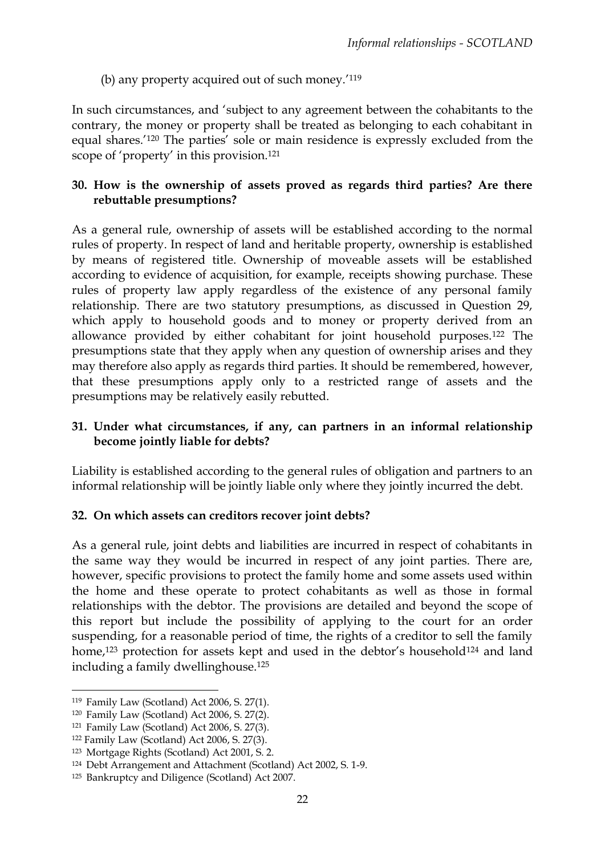(b) any property acquired out of such money.<sup>'119</sup>

In such circumstances, and 'subject to any agreement between the cohabitants to the contrary, the money or property shall be treated as belonging to each cohabitant in equal shares.' <sup>120</sup> The parties' sole or main residence is expressly excluded from the scope of 'property' in this provision.<sup>121</sup>

### **30. How is the ownership of assets proved as regards third parties? Are there rebuttable presumptions?**

As a general rule, ownership of assets will be established according to the normal rules of property. In respect of land and heritable property, ownership is established by means of registered title. Ownership of moveable assets will be established according to evidence of acquisition, for example, receipts showing purchase. These rules of property law apply regardless of the existence of any personal family relationship. There are two statutory presumptions, as discussed in Question 29, which apply to household goods and to money or property derived from an allowance provided by either cohabitant for joint household purposes.<sup>122</sup> The presumptions state that they apply when any question of ownership arises and they may therefore also apply as regards third parties. It should be remembered, however, that these presumptions apply only to a restricted range of assets and the presumptions may be relatively easily rebutted.

### **31. Under what circumstances, if any, can partners in an informal relationship become jointly liable for debts?**

Liability is established according to the general rules of obligation and partners to an informal relationship will be jointly liable only where they jointly incurred the debt.

# **32. On which assets can creditors recover joint debts?**

As a general rule, joint debts and liabilities are incurred in respect of cohabitants in the same way they would be incurred in respect of any joint parties. There are, however, specific provisions to protect the family home and some assets used within the home and these operate to protect cohabitants as well as those in formal relationships with the debtor. The provisions are detailed and beyond the scope of this report but include the possibility of applying to the court for an order suspending, for a reasonable period of time, the rights of a creditor to sell the family home,<sup>123</sup> protection for assets kept and used in the debtor's household<sup>124</sup> and land including a family dwellinghouse.<sup>125</sup>

 $\overline{a}$ <sup>119</sup> Family Law (Scotland) Act 2006, S. 27(1).

<sup>120</sup> Family Law (Scotland) Act 2006, S. 27(2).

<sup>121</sup> Family Law (Scotland) Act 2006, S. 27(3).

<sup>122</sup> Family Law (Scotland) Act 2006, S. 27(3).

<sup>123</sup> Mortgage Rights (Scotland) Act 2001, S. 2.

<sup>124</sup> Debt Arrangement and Attachment (Scotland) Act 2002, S. 1-9.

<sup>125</sup> Bankruptcy and Diligence (Scotland) Act 2007.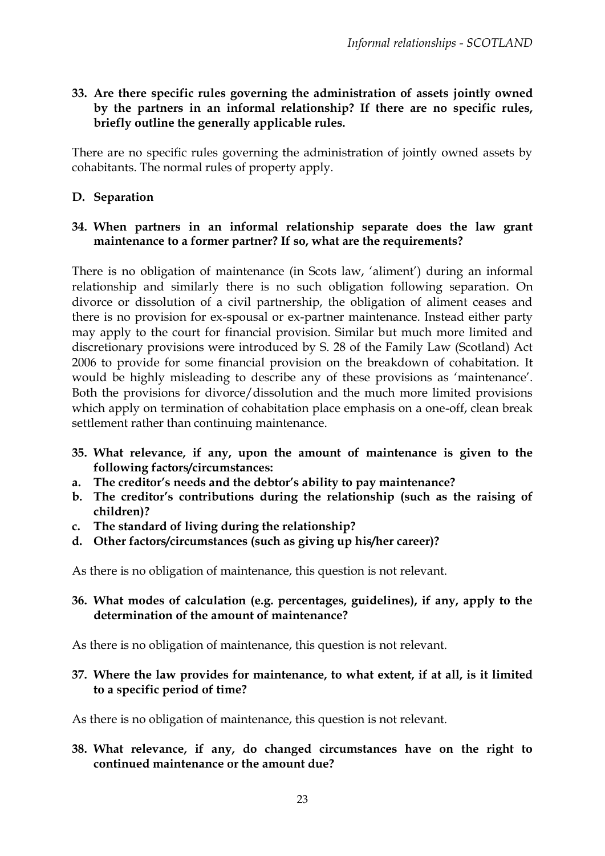### **33. Are there specific rules governing the administration of assets jointly owned by the partners in an informal relationship? If there are no specific rules, briefly outline the generally applicable rules.**

There are no specific rules governing the administration of jointly owned assets by cohabitants. The normal rules of property apply.

## **D. Separation**

#### **34. When partners in an informal relationship separate does the law grant maintenance to a former partner? If so, what are the requirements?**

There is no obligation of maintenance (in Scots law, 'aliment') during an informal relationship and similarly there is no such obligation following separation. On divorce or dissolution of a civil partnership, the obligation of aliment ceases and there is no provision for ex-spousal or ex-partner maintenance. Instead either party may apply to the court for financial provision. Similar but much more limited and discretionary provisions were introduced by S. 28 of the Family Law (Scotland) Act 2006 to provide for some financial provision on the breakdown of cohabitation. It would be highly misleading to describe any of these provisions as 'maintenance'. Both the provisions for divorce/dissolution and the much more limited provisions which apply on termination of cohabitation place emphasis on a one-off, clean break settlement rather than continuing maintenance.

- **35. What relevance, if any, upon the amount of maintenance is given to the following factors/circumstances:**
- **a. The creditor's needs and the debtor's ability to pay maintenance?**
- **b. The creditor's contributions during the relationship (such as the raising of children)?**
- **c. The standard of living during the relationship?**
- **d. Other factors/circumstances (such as giving up his/her career)?**

As there is no obligation of maintenance, this question is not relevant.

**36. What modes of calculation (e.g. percentages, guidelines), if any, apply to the determination of the amount of maintenance?**

As there is no obligation of maintenance, this question is not relevant.

**37. Where the law provides for maintenance, to what extent, if at all, is it limited to a specific period of time?**

As there is no obligation of maintenance, this question is not relevant.

**38. What relevance, if any, do changed circumstances have on the right to continued maintenance or the amount due?**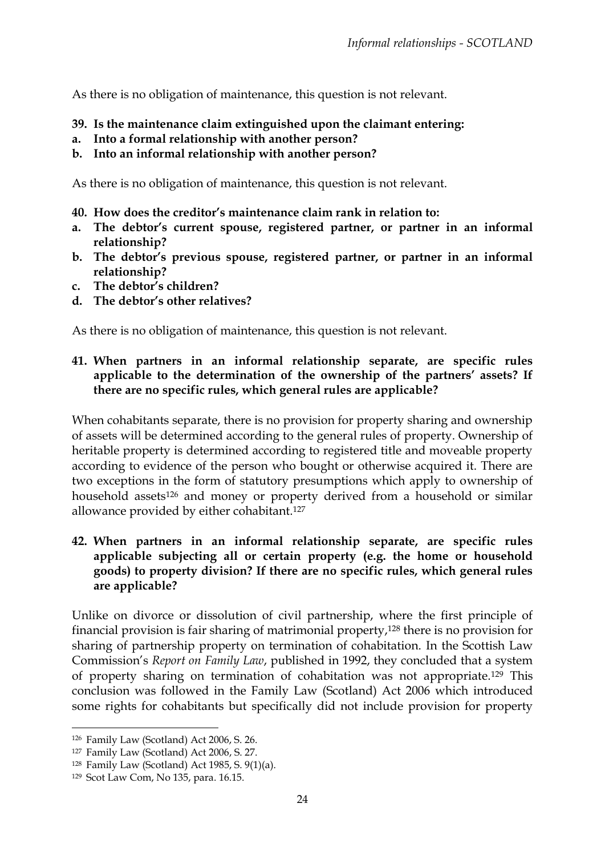As there is no obligation of maintenance, this question is not relevant.

- **39. Is the maintenance claim extinguished upon the claimant entering:**
- **a. Into a formal relationship with another person?**
- **b. Into an informal relationship with another person?**

As there is no obligation of maintenance, this question is not relevant.

- **40. How does the creditor's maintenance claim rank in relation to:**
- **a. The debtor's current spouse, registered partner, or partner in an informal relationship?**
- **b. The debtor's previous spouse, registered partner, or partner in an informal relationship?**
- **c. The debtor's children?**
- **d. The debtor's other relatives?**

As there is no obligation of maintenance, this question is not relevant.

#### **41. When partners in an informal relationship separate, are specific rules applicable to the determination of the ownership of the partners' assets? If there are no specific rules, which general rules are applicable?**

When cohabitants separate, there is no provision for property sharing and ownership of assets will be determined according to the general rules of property. Ownership of heritable property is determined according to registered title and moveable property according to evidence of the person who bought or otherwise acquired it. There are two exceptions in the form of statutory presumptions which apply to ownership of household assets<sup>126</sup> and money or property derived from a household or similar allowance provided by either cohabitant.<sup>127</sup>

**42. When partners in an informal relationship separate, are specific rules applicable subjecting all or certain property (e.g. the home or household goods) to property division? If there are no specific rules, which general rules are applicable?** 

Unlike on divorce or dissolution of civil partnership, where the first principle of financial provision is fair sharing of matrimonial property,<sup>128</sup> there is no provision for sharing of partnership property on termination of cohabitation. In the Scottish Law Commission's *Report on Family Law*, published in 1992, they concluded that a system of property sharing on termination of cohabitation was not appropriate.<sup>129</sup> This conclusion was followed in the Family Law (Scotland) Act 2006 which introduced some rights for cohabitants but specifically did not include provision for property

<sup>126</sup> Family Law (Scotland) Act 2006, S. 26.

<sup>127</sup> Family Law (Scotland) Act 2006, S. 27.

<sup>128</sup> Family Law (Scotland) Act 1985, S. 9(1)(a).

<sup>129</sup> Scot Law Com, No 135, para. 16.15.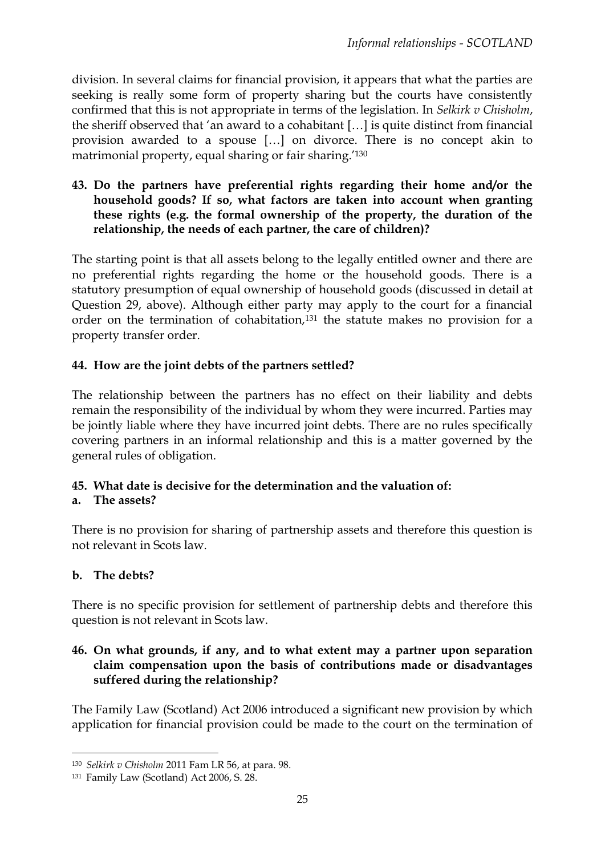division. In several claims for financial provision, it appears that what the parties are seeking is really some form of property sharing but the courts have consistently confirmed that this is not appropriate in terms of the legislation. In *Selkirk v Chisholm*, the sheriff observed that 'an award to a cohabitant […] is quite distinct from financial provision awarded to a spouse […] on divorce. There is no concept akin to matrimonial property, equal sharing or fair sharing.' 130

**43. Do the partners have preferential rights regarding their home and/or the household goods? If so, what factors are taken into account when granting these rights (e.g. the formal ownership of the property, the duration of the relationship, the needs of each partner, the care of children)?** 

The starting point is that all assets belong to the legally entitled owner and there are no preferential rights regarding the home or the household goods. There is a statutory presumption of equal ownership of household goods (discussed in detail at Question 29, above). Although either party may apply to the court for a financial order on the termination of cohabitation,<sup>131</sup> the statute makes no provision for a property transfer order.

## **44. How are the joint debts of the partners settled?**

The relationship between the partners has no effect on their liability and debts remain the responsibility of the individual by whom they were incurred. Parties may be jointly liable where they have incurred joint debts. There are no rules specifically covering partners in an informal relationship and this is a matter governed by the general rules of obligation.

# **45. What date is decisive for the determination and the valuation of:**

### **a. The assets?**

There is no provision for sharing of partnership assets and therefore this question is not relevant in Scots law.

### **b. The debts?**

**.** 

There is no specific provision for settlement of partnership debts and therefore this question is not relevant in Scots law.

### **46. On what grounds, if any, and to what extent may a partner upon separation claim compensation upon the basis of contributions made or disadvantages suffered during the relationship?**

The Family Law (Scotland) Act 2006 introduced a significant new provision by which application for financial provision could be made to the court on the termination of

<sup>130</sup> *Selkirk v Chisholm* 2011 Fam LR 56, at para. 98.

<sup>131</sup> Family Law (Scotland) Act 2006, S. 28.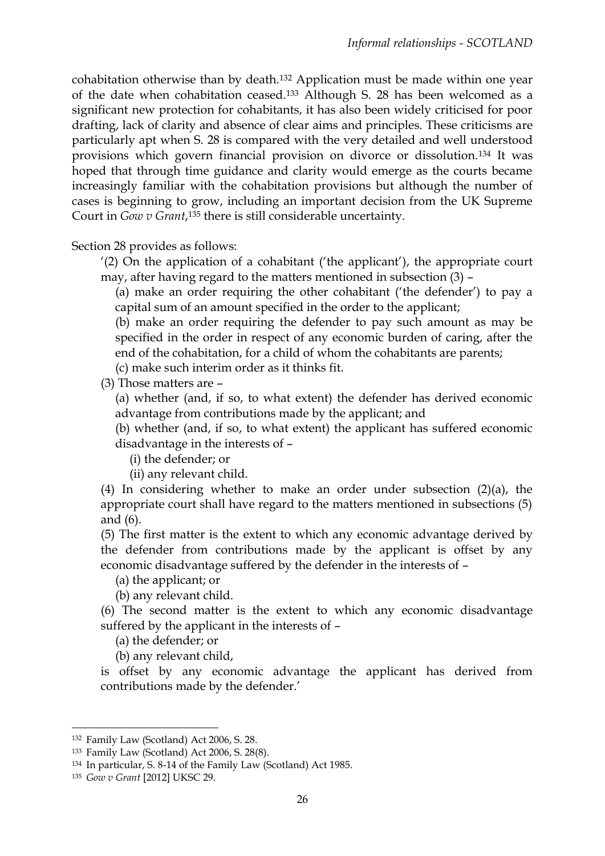cohabitation otherwise than by death.<sup>132</sup> Application must be made within one year of the date when cohabitation ceased.<sup>133</sup> Although S. 28 has been welcomed as a significant new protection for cohabitants, it has also been widely criticised for poor drafting, lack of clarity and absence of clear aims and principles. These criticisms are particularly apt when S. 28 is compared with the very detailed and well understood provisions which govern financial provision on divorce or dissolution.<sup>134</sup> It was hoped that through time guidance and clarity would emerge as the courts became increasingly familiar with the cohabitation provisions but although the number of cases is beginning to grow, including an important decision from the UK Supreme Court in *Gow v Grant*, <sup>135</sup> there is still considerable uncertainty.

Section 28 provides as follows:

'(2) On the application of a cohabitant ('the applicant'), the appropriate court may, after having regard to the matters mentioned in subsection (3) –

(a) make an order requiring the other cohabitant ('the defender') to pay a capital sum of an amount specified in the order to the applicant;

(b) make an order requiring the defender to pay such amount as may be specified in the order in respect of any economic burden of caring, after the end of the cohabitation, for a child of whom the cohabitants are parents;

(c) make such interim order as it thinks fit.

(3) Those matters are –

(a) whether (and, if so, to what extent) the defender has derived economic advantage from contributions made by the applicant; and

(b) whether (and, if so, to what extent) the applicant has suffered economic disadvantage in the interests of –

(i) the defender; or

(ii) any relevant child.

(4) In considering whether to make an order under subsection (2)(a), the appropriate court shall have regard to the matters mentioned in subsections (5) and (6).

(5) The first matter is the extent to which any economic advantage derived by the defender from contributions made by the applicant is offset by any economic disadvantage suffered by the defender in the interests of –

(a) the applicant; or

(b) any relevant child.

(6) The second matter is the extent to which any economic disadvantage suffered by the applicant in the interests of –

(a) the defender; or

(b) any relevant child,

is offset by any economic advantage the applicant has derived from contributions made by the defender.'

<sup>132</sup> Family Law (Scotland) Act 2006, S. 28.

<sup>133</sup> Family Law (Scotland) Act 2006, S. 28(8).

<sup>134</sup> In particular, S. 8-14 of the Family Law (Scotland) Act 1985.

<sup>135</sup> *Gow v Grant* [2012] UKSC 29.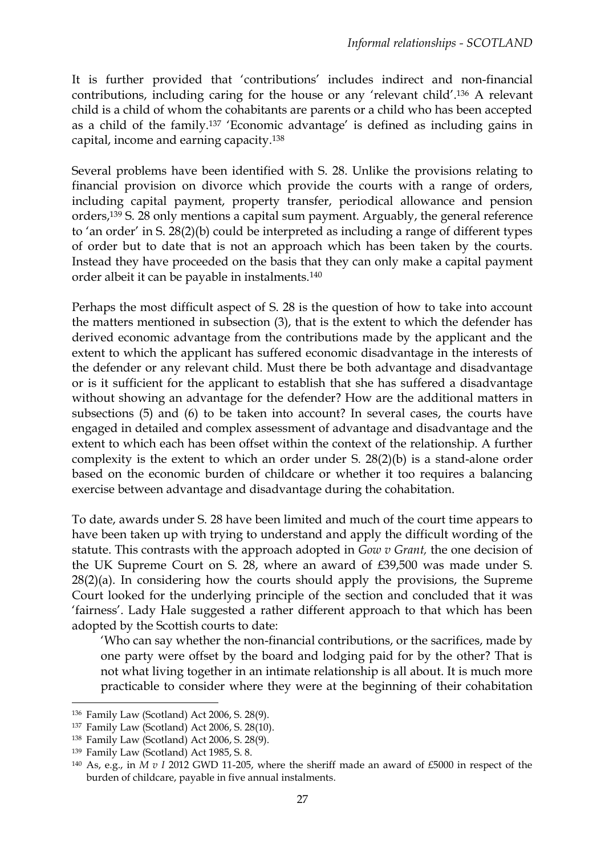It is further provided that 'contributions' includes indirect and non-financial contributions, including caring for the house or any 'relevant child'. <sup>136</sup> A relevant child is a child of whom the cohabitants are parents or a child who has been accepted as a child of the family.<sup>137</sup> 'Economic advantage' is defined as including gains in capital, income and earning capacity.<sup>138</sup>

Several problems have been identified with S. 28. Unlike the provisions relating to financial provision on divorce which provide the courts with a range of orders, including capital payment, property transfer, periodical allowance and pension orders,<sup>139</sup> S. 28 only mentions a capital sum payment. Arguably, the general reference to 'an order' in S. 28(2)(b) could be interpreted as including a range of different types of order but to date that is not an approach which has been taken by the courts. Instead they have proceeded on the basis that they can only make a capital payment order albeit it can be payable in instalments.<sup>140</sup>

Perhaps the most difficult aspect of S. 28 is the question of how to take into account the matters mentioned in subsection (3), that is the extent to which the defender has derived economic advantage from the contributions made by the applicant and the extent to which the applicant has suffered economic disadvantage in the interests of the defender or any relevant child. Must there be both advantage and disadvantage or is it sufficient for the applicant to establish that she has suffered a disadvantage without showing an advantage for the defender? How are the additional matters in subsections (5) and (6) to be taken into account? In several cases, the courts have engaged in detailed and complex assessment of advantage and disadvantage and the extent to which each has been offset within the context of the relationship. A further complexity is the extent to which an order under S. 28(2)(b) is a stand-alone order based on the economic burden of childcare or whether it too requires a balancing exercise between advantage and disadvantage during the cohabitation.

To date, awards under S. 28 have been limited and much of the court time appears to have been taken up with trying to understand and apply the difficult wording of the statute. This contrasts with the approach adopted in *Gow v Grant,* the one decision of the UK Supreme Court on S. 28, where an award of £39,500 was made under S.  $28(2)(a)$ . In considering how the courts should apply the provisions, the Supreme Court looked for the underlying principle of the section and concluded that it was 'fairness'. Lady Hale suggested a rather different approach to that which has been adopted by the Scottish courts to date:

'Who can say whether the non-financial contributions, or the sacrifices, made by one party were offset by the board and lodging paid for by the other? That is not what living together in an intimate relationship is all about. It is much more practicable to consider where they were at the beginning of their cohabitation

 $\overline{a}$ 

<sup>136</sup> Family Law (Scotland) Act 2006, S. 28(9).

<sup>137</sup> Family Law (Scotland) Act 2006, S. 28(10).

<sup>138</sup> Family Law (Scotland) Act 2006, S. 28(9).

<sup>139</sup> Family Law (Scotland) Act 1985, S. 8.

<sup>140</sup> As, e.g., in *M v I* 2012 GWD 11-205, where the sheriff made an award of £5000 in respect of the burden of childcare, payable in five annual instalments.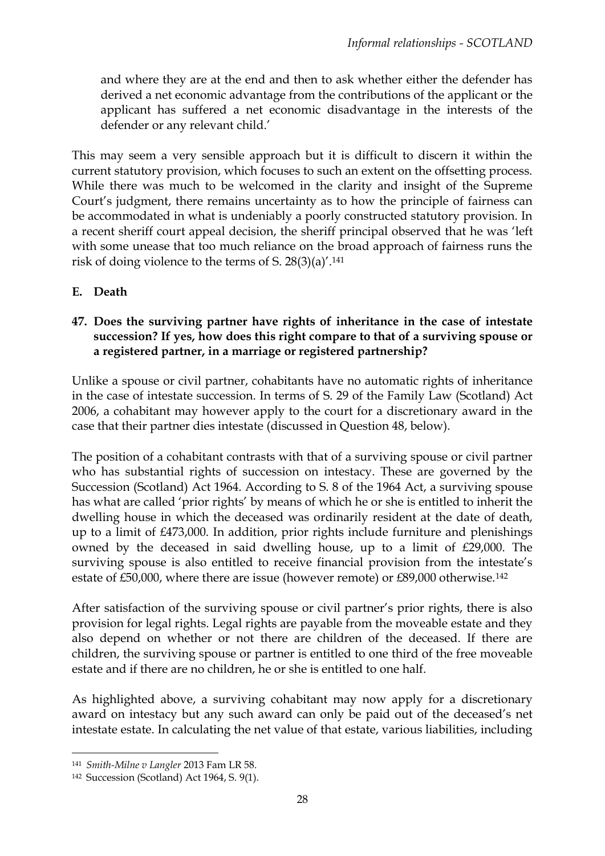and where they are at the end and then to ask whether either the defender has derived a net economic advantage from the contributions of the applicant or the applicant has suffered a net economic disadvantage in the interests of the defender or any relevant child.'

This may seem a very sensible approach but it is difficult to discern it within the current statutory provision, which focuses to such an extent on the offsetting process. While there was much to be welcomed in the clarity and insight of the Supreme Court's judgment, there remains uncertainty as to how the principle of fairness can be accommodated in what is undeniably a poorly constructed statutory provision. In a recent sheriff court appeal decision, the sheriff principal observed that he was 'left with some unease that too much reliance on the broad approach of fairness runs the risk of doing violence to the terms of S. 28(3)(a)'. 141

**E. Death**

### **47. Does the surviving partner have rights of inheritance in the case of intestate succession? If yes, how does this right compare to that of a surviving spouse or a registered partner, in a marriage or registered partnership?**

Unlike a spouse or civil partner, cohabitants have no automatic rights of inheritance in the case of intestate succession. In terms of S. 29 of the Family Law (Scotland) Act 2006, a cohabitant may however apply to the court for a discretionary award in the case that their partner dies intestate (discussed in Question 48, below).

The position of a cohabitant contrasts with that of a surviving spouse or civil partner who has substantial rights of succession on intestacy. These are governed by the Succession (Scotland) Act 1964. According to S. 8 of the 1964 Act, a surviving spouse has what are called 'prior rights' by means of which he or she is entitled to inherit the dwelling house in which the deceased was ordinarily resident at the date of death, up to a limit of £473,000. In addition, prior rights include furniture and plenishings owned by the deceased in said dwelling house, up to a limit of £29,000. The surviving spouse is also entitled to receive financial provision from the intestate's estate of £50,000, where there are issue (however remote) or £89,000 otherwise.<sup>142</sup>

After satisfaction of the surviving spouse or civil partner's prior rights, there is also provision for legal rights. Legal rights are payable from the moveable estate and they also depend on whether or not there are children of the deceased. If there are children, the surviving spouse or partner is entitled to one third of the free moveable estate and if there are no children, he or she is entitled to one half.

As highlighted above, a surviving cohabitant may now apply for a discretionary award on intestacy but any such award can only be paid out of the deceased's net intestate estate. In calculating the net value of that estate, various liabilities, including

<sup>141</sup> *Smith-Milne v Langler* 2013 Fam LR 58.

<sup>142</sup> Succession (Scotland) Act 1964, S. 9(1).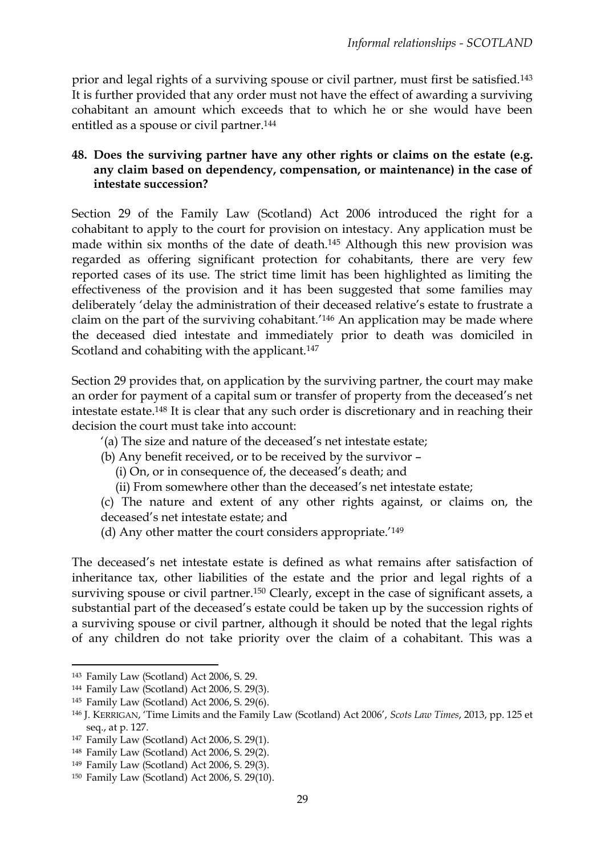prior and legal rights of a surviving spouse or civil partner, must first be satisfied.<sup>143</sup> It is further provided that any order must not have the effect of awarding a surviving cohabitant an amount which exceeds that to which he or she would have been entitled as a spouse or civil partner.<sup>144</sup>

### **48. Does the surviving partner have any other rights or claims on the estate (e.g. any claim based on dependency, compensation, or maintenance) in the case of intestate succession?**

Section 29 of the Family Law (Scotland) Act 2006 introduced the right for a cohabitant to apply to the court for provision on intestacy. Any application must be made within six months of the date of death.<sup>145</sup> Although this new provision was regarded as offering significant protection for cohabitants, there are very few reported cases of its use. The strict time limit has been highlighted as limiting the effectiveness of the provision and it has been suggested that some families may deliberately 'delay the administration of their deceased relative's estate to frustrate a claim on the part of the surviving cohabitant.' <sup>146</sup> An application may be made where the deceased died intestate and immediately prior to death was domiciled in Scotland and cohabiting with the applicant.<sup>147</sup>

Section 29 provides that, on application by the surviving partner, the court may make an order for payment of a capital sum or transfer of property from the deceased's net intestate estate.<sup>148</sup> It is clear that any such order is discretionary and in reaching their decision the court must take into account:

'(a) The size and nature of the deceased's net intestate estate;

(b) Any benefit received, or to be received by the survivor –

(i) On, or in consequence of, the deceased's death; and

(ii) From somewhere other than the deceased's net intestate estate;

(c) The nature and extent of any other rights against, or claims on, the deceased's net intestate estate; and

(d) Any other matter the court considers appropriate.'<sup>149</sup>

The deceased's net intestate estate is defined as what remains after satisfaction of inheritance tax, other liabilities of the estate and the prior and legal rights of a surviving spouse or civil partner.<sup>150</sup> Clearly, except in the case of significant assets, a substantial part of the deceased's estate could be taken up by the succession rights of a surviving spouse or civil partner, although it should be noted that the legal rights of any children do not take priority over the claim of a cohabitant. This was a

1

<sup>143</sup> Family Law (Scotland) Act 2006, S. 29.

<sup>144</sup> Family Law (Scotland) Act 2006, S. 29(3).

<sup>145</sup> Family Law (Scotland) Act 2006, S. 29(6).

<sup>146</sup> J. KERRIGAN, 'Time Limits and the Family Law (Scotland) Act 2006', *Scots Law Times*, 2013, pp. 125 et seq., at p. 127.

<sup>147</sup> Family Law (Scotland) Act 2006, S. 29(1).

<sup>148</sup> Family Law (Scotland) Act 2006, S. 29(2).

<sup>149</sup> Family Law (Scotland) Act 2006, S. 29(3).

<sup>150</sup> Family Law (Scotland) Act 2006, S. 29(10).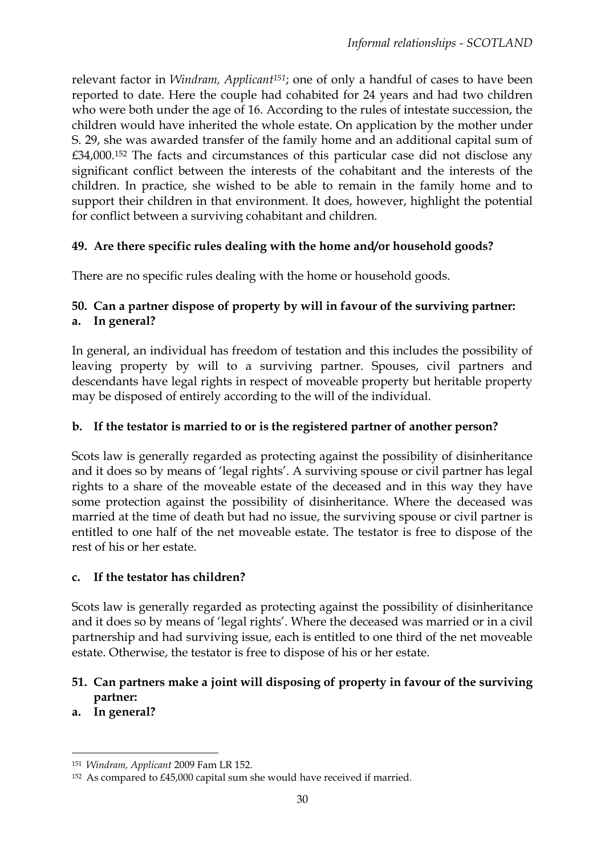relevant factor in *Windram, Applicant151*; one of only a handful of cases to have been reported to date. Here the couple had cohabited for 24 years and had two children who were both under the age of 16. According to the rules of intestate succession, the children would have inherited the whole estate. On application by the mother under S. 29, she was awarded transfer of the family home and an additional capital sum of £34,000.<sup>152</sup> The facts and circumstances of this particular case did not disclose any significant conflict between the interests of the cohabitant and the interests of the children. In practice, she wished to be able to remain in the family home and to support their children in that environment. It does, however, highlight the potential for conflict between a surviving cohabitant and children.

# **49. Are there specific rules dealing with the home and/or household goods?**

There are no specific rules dealing with the home or household goods.

# **50. Can a partner dispose of property by will in favour of the surviving partner: a. In general?**

In general, an individual has freedom of testation and this includes the possibility of leaving property by will to a surviving partner. Spouses, civil partners and descendants have legal rights in respect of moveable property but heritable property may be disposed of entirely according to the will of the individual.

# **b. If the testator is married to or is the registered partner of another person?**

Scots law is generally regarded as protecting against the possibility of disinheritance and it does so by means of 'legal rights'. A surviving spouse or civil partner has legal rights to a share of the moveable estate of the deceased and in this way they have some protection against the possibility of disinheritance. Where the deceased was married at the time of death but had no issue, the surviving spouse or civil partner is entitled to one half of the net moveable estate. The testator is free to dispose of the rest of his or her estate.

# **c. If the testator has children?**

Scots law is generally regarded as protecting against the possibility of disinheritance and it does so by means of 'legal rights'. Where the deceased was married or in a civil partnership and had surviving issue, each is entitled to one third of the net moveable estate. Otherwise, the testator is free to dispose of his or her estate.

# **51. Can partners make a joint will disposing of property in favour of the surviving partner:**

**a. In general?** 

<sup>151</sup> *Windram, Applicant* 2009 Fam LR 152.

<sup>152</sup> As compared to £45,000 capital sum she would have received if married.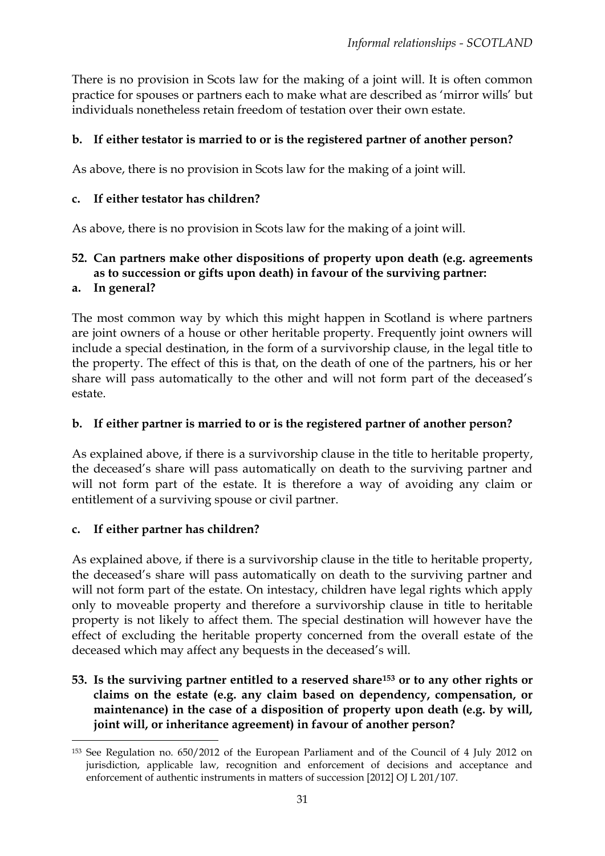There is no provision in Scots law for the making of a joint will. It is often common practice for spouses or partners each to make what are described as 'mirror wills' but individuals nonetheless retain freedom of testation over their own estate.

### **b. If either testator is married to or is the registered partner of another person?**

As above, there is no provision in Scots law for the making of a joint will.

#### **c. If either testator has children?**

As above, there is no provision in Scots law for the making of a joint will.

# **52. Can partners make other dispositions of property upon death (e.g. agreements as to succession or gifts upon death) in favour of the surviving partner:**

#### **a. In general?**

The most common way by which this might happen in Scotland is where partners are joint owners of a house or other heritable property. Frequently joint owners will include a special destination, in the form of a survivorship clause, in the legal title to the property. The effect of this is that, on the death of one of the partners, his or her share will pass automatically to the other and will not form part of the deceased's estate.

### **b. If either partner is married to or is the registered partner of another person?**

As explained above, if there is a survivorship clause in the title to heritable property, the deceased's share will pass automatically on death to the surviving partner and will not form part of the estate. It is therefore a way of avoiding any claim or entitlement of a surviving spouse or civil partner.

### **c. If either partner has children?**

As explained above, if there is a survivorship clause in the title to heritable property, the deceased's share will pass automatically on death to the surviving partner and will not form part of the estate. On intestacy, children have legal rights which apply only to moveable property and therefore a survivorship clause in title to heritable property is not likely to affect them. The special destination will however have the effect of excluding the heritable property concerned from the overall estate of the deceased which may affect any bequests in the deceased's will.

**53. Is the surviving partner entitled to a reserved share<sup>153</sup> or to any other rights or claims on the estate (e.g. any claim based on dependency, compensation, or maintenance) in the case of a disposition of property upon death (e.g. by will, joint will, or inheritance agreement) in favour of another person?** 

**<sup>.</sup>** <sup>153</sup> See Regulation no. 650/2012 of the European Parliament and of the Council of 4 July 2012 on jurisdiction, applicable law, recognition and enforcement of decisions and acceptance and enforcement of authentic instruments in matters of succession [2012] OJ L 201/107.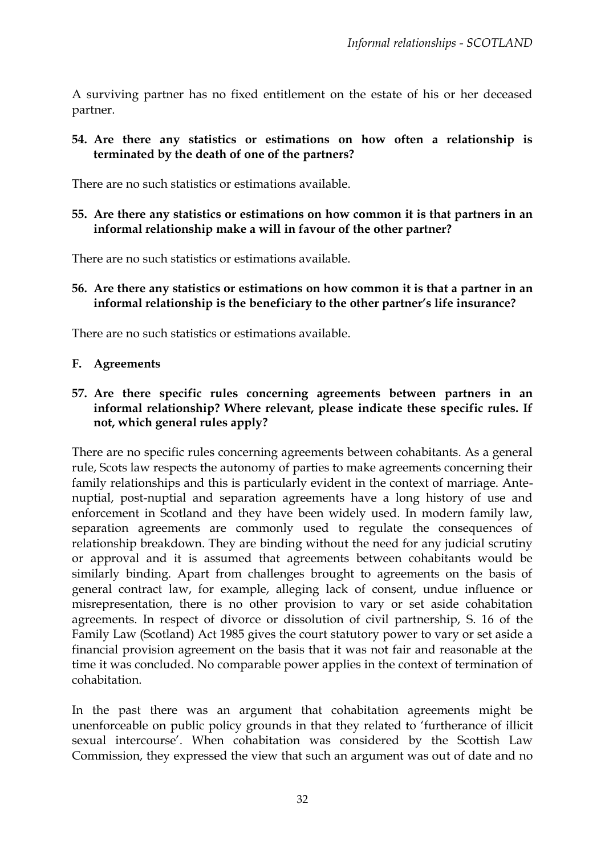A surviving partner has no fixed entitlement on the estate of his or her deceased partner.

**54. Are there any statistics or estimations on how often a relationship is terminated by the death of one of the partners?** 

There are no such statistics or estimations available.

**55. Are there any statistics or estimations on how common it is that partners in an informal relationship make a will in favour of the other partner?** 

There are no such statistics or estimations available.

**56. Are there any statistics or estimations on how common it is that a partner in an informal relationship is the beneficiary to the other partner's life insurance?**

There are no such statistics or estimations available.

#### **F. Agreements**

**57. Are there specific rules concerning agreements between partners in an informal relationship? Where relevant, please indicate these specific rules. If not, which general rules apply?**

There are no specific rules concerning agreements between cohabitants. As a general rule, Scots law respects the autonomy of parties to make agreements concerning their family relationships and this is particularly evident in the context of marriage. Antenuptial, post-nuptial and separation agreements have a long history of use and enforcement in Scotland and they have been widely used. In modern family law, separation agreements are commonly used to regulate the consequences of relationship breakdown. They are binding without the need for any judicial scrutiny or approval and it is assumed that agreements between cohabitants would be similarly binding. Apart from challenges brought to agreements on the basis of general contract law, for example, alleging lack of consent, undue influence or misrepresentation, there is no other provision to vary or set aside cohabitation agreements. In respect of divorce or dissolution of civil partnership, S. 16 of the Family Law (Scotland) Act 1985 gives the court statutory power to vary or set aside a financial provision agreement on the basis that it was not fair and reasonable at the time it was concluded. No comparable power applies in the context of termination of cohabitation.

In the past there was an argument that cohabitation agreements might be unenforceable on public policy grounds in that they related to 'furtherance of illicit sexual intercourse'. When cohabitation was considered by the Scottish Law Commission, they expressed the view that such an argument was out of date and no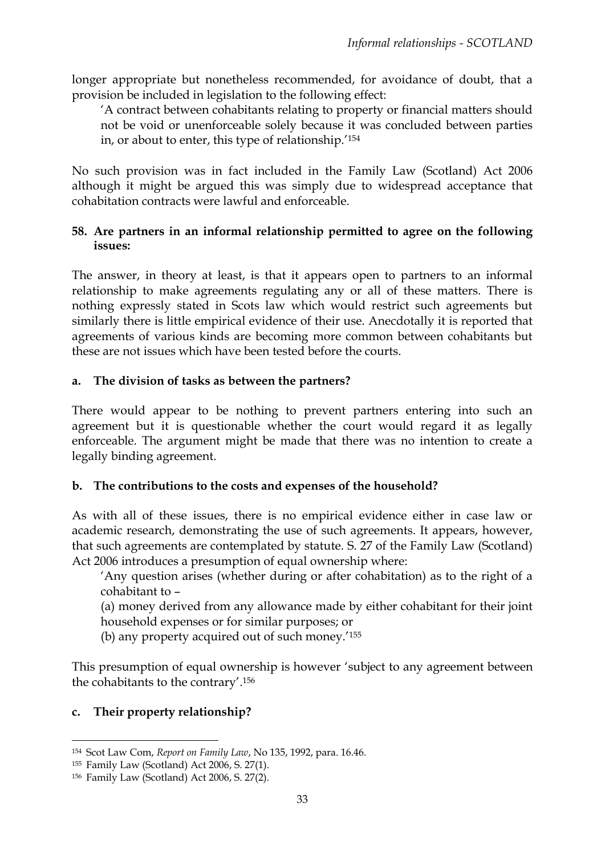longer appropriate but nonetheless recommended, for avoidance of doubt, that a provision be included in legislation to the following effect:

'A contract between cohabitants relating to property or financial matters should not be void or unenforceable solely because it was concluded between parties in, or about to enter, this type of relationship.' 154

No such provision was in fact included in the Family Law (Scotland) Act 2006 although it might be argued this was simply due to widespread acceptance that cohabitation contracts were lawful and enforceable.

### **58. Are partners in an informal relationship permitted to agree on the following issues:**

The answer, in theory at least, is that it appears open to partners to an informal relationship to make agreements regulating any or all of these matters. There is nothing expressly stated in Scots law which would restrict such agreements but similarly there is little empirical evidence of their use. Anecdotally it is reported that agreements of various kinds are becoming more common between cohabitants but these are not issues which have been tested before the courts.

### **a. The division of tasks as between the partners?**

There would appear to be nothing to prevent partners entering into such an agreement but it is questionable whether the court would regard it as legally enforceable. The argument might be made that there was no intention to create a legally binding agreement.

### **b. The contributions to the costs and expenses of the household?**

As with all of these issues, there is no empirical evidence either in case law or academic research, demonstrating the use of such agreements. It appears, however, that such agreements are contemplated by statute. S. 27 of the Family Law (Scotland) Act 2006 introduces a presumption of equal ownership where:

'Any question arises (whether during or after cohabitation) as to the right of a cohabitant to –

(a) money derived from any allowance made by either cohabitant for their joint household expenses or for similar purposes; or

(b) any property acquired out of such money.'<sup>155</sup>

This presumption of equal ownership is however 'subject to any agreement between the cohabitants to the contrary'. 156

# **c. Their property relationship?**

<sup>154</sup> Scot Law Com, *Report on Family Law*, No 135, 1992, para. 16.46.

<sup>155</sup> Family Law (Scotland) Act 2006, S. 27(1).

<sup>156</sup> Family Law (Scotland) Act 2006, S. 27(2).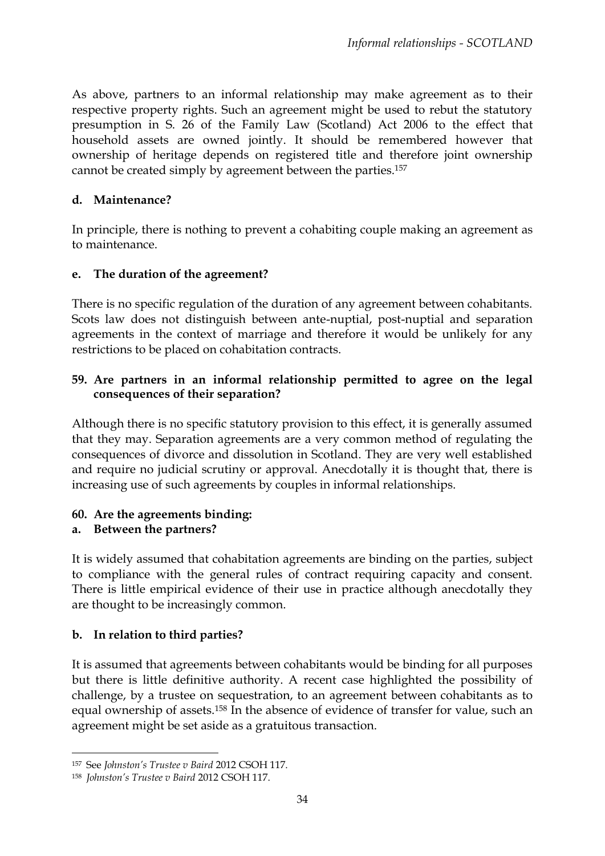As above, partners to an informal relationship may make agreement as to their respective property rights. Such an agreement might be used to rebut the statutory presumption in S. 26 of the Family Law (Scotland) Act 2006 to the effect that household assets are owned jointly. It should be remembered however that ownership of heritage depends on registered title and therefore joint ownership cannot be created simply by agreement between the parties.<sup>157</sup>

### **d. Maintenance?**

In principle, there is nothing to prevent a cohabiting couple making an agreement as to maintenance.

# **e. The duration of the agreement?**

There is no specific regulation of the duration of any agreement between cohabitants. Scots law does not distinguish between ante-nuptial, post-nuptial and separation agreements in the context of marriage and therefore it would be unlikely for any restrictions to be placed on cohabitation contracts.

# **59. Are partners in an informal relationship permitted to agree on the legal consequences of their separation?**

Although there is no specific statutory provision to this effect, it is generally assumed that they may. Separation agreements are a very common method of regulating the consequences of divorce and dissolution in Scotland. They are very well established and require no judicial scrutiny or approval. Anecdotally it is thought that, there is increasing use of such agreements by couples in informal relationships.

# **60. Are the agreements binding:**

# **a. Between the partners?**

It is widely assumed that cohabitation agreements are binding on the parties, subject to compliance with the general rules of contract requiring capacity and consent. There is little empirical evidence of their use in practice although anecdotally they are thought to be increasingly common.

# **b. In relation to third parties?**

It is assumed that agreements between cohabitants would be binding for all purposes but there is little definitive authority. A recent case highlighted the possibility of challenge, by a trustee on sequestration, to an agreement between cohabitants as to equal ownership of assets.<sup>158</sup> In the absence of evidence of transfer for value, such an agreement might be set aside as a gratuitous transaction.

<sup>157</sup> See *Johnston's Trustee v Baird* 2012 CSOH 117.

<sup>158</sup> *Johnston's Trustee v Baird* 2012 CSOH 117.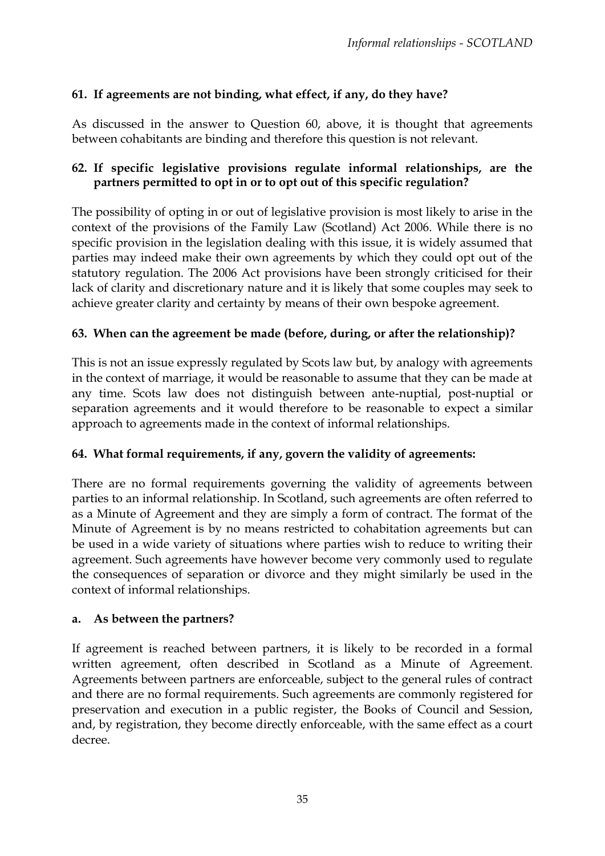# **61. If agreements are not binding, what effect, if any, do they have?**

As discussed in the answer to Question 60, above, it is thought that agreements between cohabitants are binding and therefore this question is not relevant.

### **62. If specific legislative provisions regulate informal relationships, are the partners permitted to opt in or to opt out of this specific regulation?**

The possibility of opting in or out of legislative provision is most likely to arise in the context of the provisions of the Family Law (Scotland) Act 2006. While there is no specific provision in the legislation dealing with this issue, it is widely assumed that parties may indeed make their own agreements by which they could opt out of the statutory regulation. The 2006 Act provisions have been strongly criticised for their lack of clarity and discretionary nature and it is likely that some couples may seek to achieve greater clarity and certainty by means of their own bespoke agreement.

### **63. When can the agreement be made (before, during, or after the relationship)?**

This is not an issue expressly regulated by Scots law but, by analogy with agreements in the context of marriage, it would be reasonable to assume that they can be made at any time. Scots law does not distinguish between ante-nuptial, post-nuptial or separation agreements and it would therefore to be reasonable to expect a similar approach to agreements made in the context of informal relationships.

### **64. What formal requirements, if any, govern the validity of agreements:**

There are no formal requirements governing the validity of agreements between parties to an informal relationship. In Scotland, such agreements are often referred to as a Minute of Agreement and they are simply a form of contract. The format of the Minute of Agreement is by no means restricted to cohabitation agreements but can be used in a wide variety of situations where parties wish to reduce to writing their agreement. Such agreements have however become very commonly used to regulate the consequences of separation or divorce and they might similarly be used in the context of informal relationships.

#### **a. As between the partners?**

If agreement is reached between partners, it is likely to be recorded in a formal written agreement, often described in Scotland as a Minute of Agreement. Agreements between partners are enforceable, subject to the general rules of contract and there are no formal requirements. Such agreements are commonly registered for preservation and execution in a public register, the Books of Council and Session, and, by registration, they become directly enforceable, with the same effect as a court decree.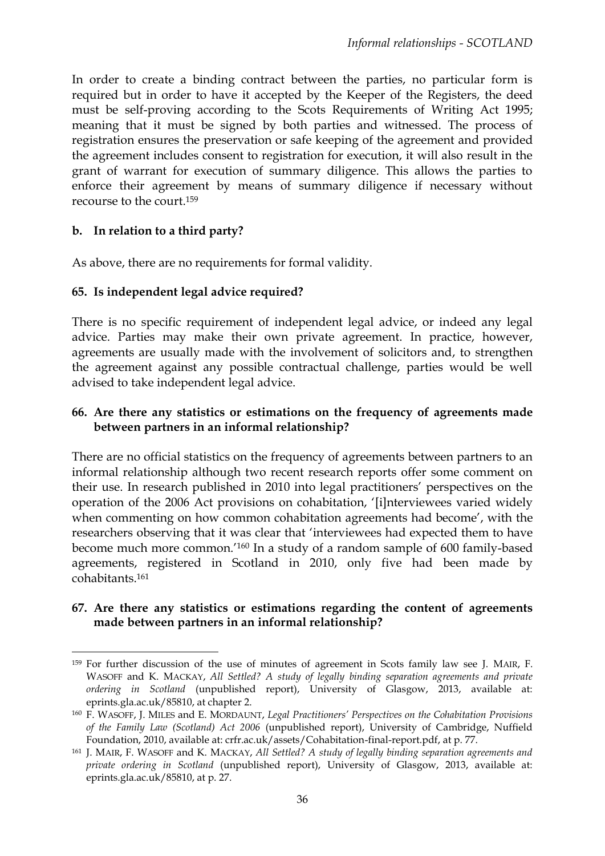In order to create a binding contract between the parties, no particular form is required but in order to have it accepted by the Keeper of the Registers, the deed must be self-proving according to the Scots Requirements of Writing Act 1995; meaning that it must be signed by both parties and witnessed. The process of registration ensures the preservation or safe keeping of the agreement and provided the agreement includes consent to registration for execution, it will also result in the grant of warrant for execution of summary diligence. This allows the parties to enforce their agreement by means of summary diligence if necessary without recourse to the court.<sup>159</sup>

### **b. In relation to a third party?**

**.** 

As above, there are no requirements for formal validity.

### **65. Is independent legal advice required?**

There is no specific requirement of independent legal advice, or indeed any legal advice. Parties may make their own private agreement. In practice, however, agreements are usually made with the involvement of solicitors and, to strengthen the agreement against any possible contractual challenge, parties would be well advised to take independent legal advice.

### **66. Are there any statistics or estimations on the frequency of agreements made between partners in an informal relationship?**

There are no official statistics on the frequency of agreements between partners to an informal relationship although two recent research reports offer some comment on their use. In research published in 2010 into legal practitioners' perspectives on the operation of the 2006 Act provisions on cohabitation, '[i]nterviewees varied widely when commenting on how common cohabitation agreements had become', with the researchers observing that it was clear that 'interviewees had expected them to have become much more common.' <sup>160</sup> In a study of a random sample of 600 family-based agreements, registered in Scotland in 2010, only five had been made by cohabitants.<sup>161</sup>

#### **67. Are there any statistics or estimations regarding the content of agreements made between partners in an informal relationship?**

<sup>159</sup> For further discussion of the use of minutes of agreement in Scots family law see J. MAIR, F. WASOFF and K. MACKAY, *All Settled? A study of legally binding separation agreements and private ordering in Scotland* (unpublished report), University of Glasgow, 2013, available at: eprints.gla.ac.uk/85810, at chapter 2.

<sup>160</sup> F. WASOFF, J. MILES and E. MORDAUNT, *Legal Practitioners' Perspectives on the Cohabitation Provisions of the Family Law (Scotland) Act 2006* (unpublished report), University of Cambridge, Nuffield Foundation, 2010, available at: crfr.ac.uk/assets/Cohabitation-final-report.pdf, at p. 77.

<sup>161</sup> J. MAIR, F. WASOFF and K. MACKAY, *All Settled? A study of legally binding separation agreements and private ordering in Scotland* (unpublished report), University of Glasgow, 2013, available at: eprints.gla.ac.uk/85810, at p. 27.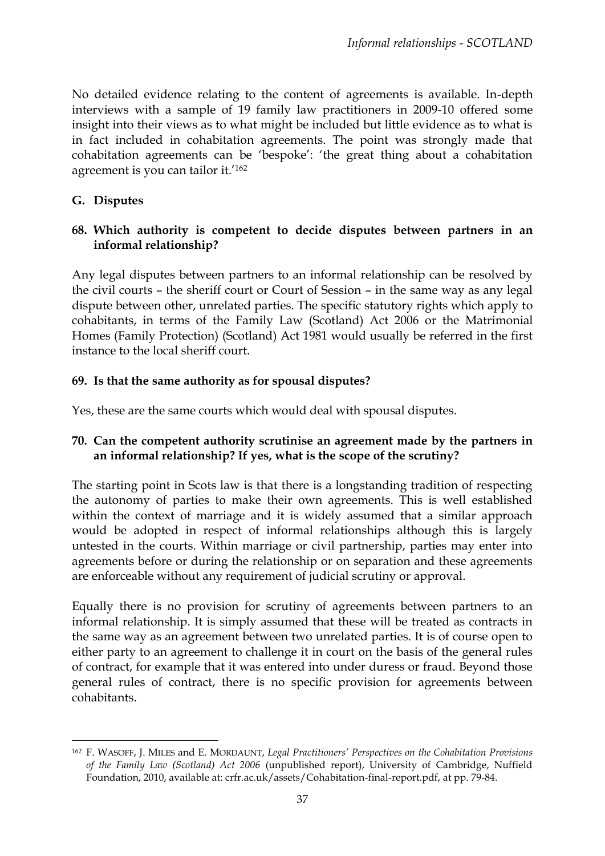No detailed evidence relating to the content of agreements is available. In-depth interviews with a sample of 19 family law practitioners in 2009-10 offered some insight into their views as to what might be included but little evidence as to what is in fact included in cohabitation agreements. The point was strongly made that cohabitation agreements can be 'bespoke': 'the great thing about a cohabitation agreement is you can tailor it.'<sup>162</sup>

### **G. Disputes**

**.** 

### **68. Which authority is competent to decide disputes between partners in an informal relationship?**

Any legal disputes between partners to an informal relationship can be resolved by the civil courts – the sheriff court or Court of Session – in the same way as any legal dispute between other, unrelated parties. The specific statutory rights which apply to cohabitants, in terms of the Family Law (Scotland) Act 2006 or the Matrimonial Homes (Family Protection) (Scotland) Act 1981 would usually be referred in the first instance to the local sheriff court.

## **69. Is that the same authority as for spousal disputes?**

Yes, these are the same courts which would deal with spousal disputes.

## **70. Can the competent authority scrutinise an agreement made by the partners in an informal relationship? If yes, what is the scope of the scrutiny?**

The starting point in Scots law is that there is a longstanding tradition of respecting the autonomy of parties to make their own agreements. This is well established within the context of marriage and it is widely assumed that a similar approach would be adopted in respect of informal relationships although this is largely untested in the courts. Within marriage or civil partnership, parties may enter into agreements before or during the relationship or on separation and these agreements are enforceable without any requirement of judicial scrutiny or approval.

Equally there is no provision for scrutiny of agreements between partners to an informal relationship. It is simply assumed that these will be treated as contracts in the same way as an agreement between two unrelated parties. It is of course open to either party to an agreement to challenge it in court on the basis of the general rules of contract, for example that it was entered into under duress or fraud. Beyond those general rules of contract, there is no specific provision for agreements between cohabitants.

<sup>162</sup> F. WASOFF, J. MILES and E. MORDAUNT, *Legal Practitioners' Perspectives on the Cohabitation Provisions of the Family Law (Scotland) Act 2006* (unpublished report), University of Cambridge, Nuffield Foundation, 2010, available at: crfr.ac.uk/assets/Cohabitation-final-report.pdf, at pp. 79-84.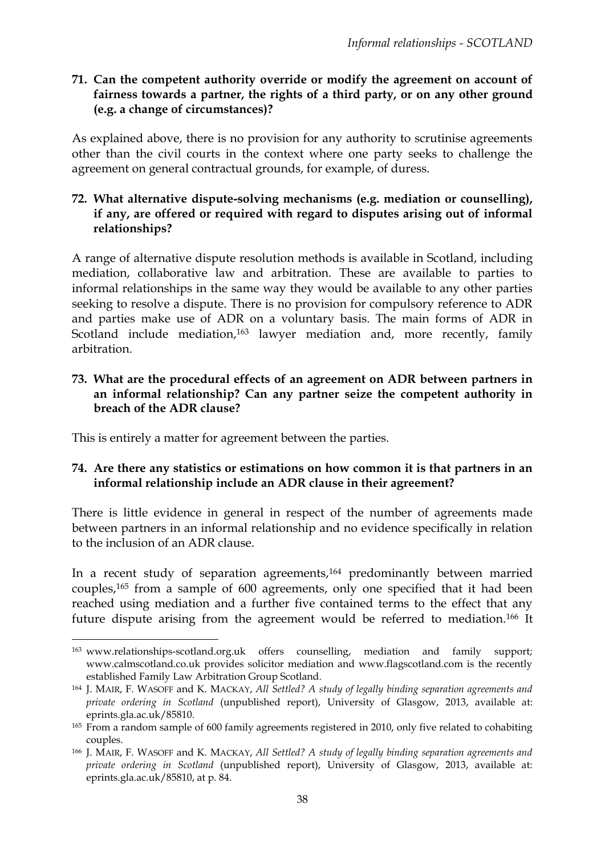### **71. Can the competent authority override or modify the agreement on account of fairness towards a partner, the rights of a third party, or on any other ground (e.g. a change of circumstances)?**

As explained above, there is no provision for any authority to scrutinise agreements other than the civil courts in the context where one party seeks to challenge the agreement on general contractual grounds, for example, of duress.

### **72. What alternative dispute-solving mechanisms (e.g. mediation or counselling), if any, are offered or required with regard to disputes arising out of informal relationships?**

A range of alternative dispute resolution methods is available in Scotland, including mediation, collaborative law and arbitration. These are available to parties to informal relationships in the same way they would be available to any other parties seeking to resolve a dispute. There is no provision for compulsory reference to ADR and parties make use of ADR on a voluntary basis. The main forms of ADR in Scotland include mediation,<sup>163</sup> lawyer mediation and, more recently, family arbitration.

#### **73. What are the procedural effects of an agreement on ADR between partners in an informal relationship? Can any partner seize the competent authority in breach of the ADR clause?**

This is entirely a matter for agreement between the parties.

**.** 

### **74. Are there any statistics or estimations on how common it is that partners in an informal relationship include an ADR clause in their agreement?**

There is little evidence in general in respect of the number of agreements made between partners in an informal relationship and no evidence specifically in relation to the inclusion of an ADR clause.

In a recent study of separation agreements,<sup>164</sup> predominantly between married couples,<sup>165</sup> from a sample of 600 agreements, only one specified that it had been reached using mediation and a further five contained terms to the effect that any future dispute arising from the agreement would be referred to mediation.<sup>166</sup> It

<sup>163</sup> www.relationships-scotland.org.uk offers counselling, mediation and family support; www.calmscotland.co.uk provides solicitor mediation and www.flagscotland.com is the recently established Family Law Arbitration Group Scotland.

<sup>164</sup> J. MAIR, F. WASOFF and K. MACKAY, *All Settled? A study of legally binding separation agreements and private ordering in Scotland* (unpublished report), University of Glasgow, 2013, available at: eprints.gla.ac.uk/85810.

<sup>165</sup> From a random sample of 600 family agreements registered in 2010, only five related to cohabiting couples.

<sup>166</sup> J. MAIR, F. WASOFF and K. MACKAY, *All Settled? A study of legally binding separation agreements and private ordering in Scotland* (unpublished report), University of Glasgow, 2013, available at: eprints.gla.ac.uk/85810, at p. 84.